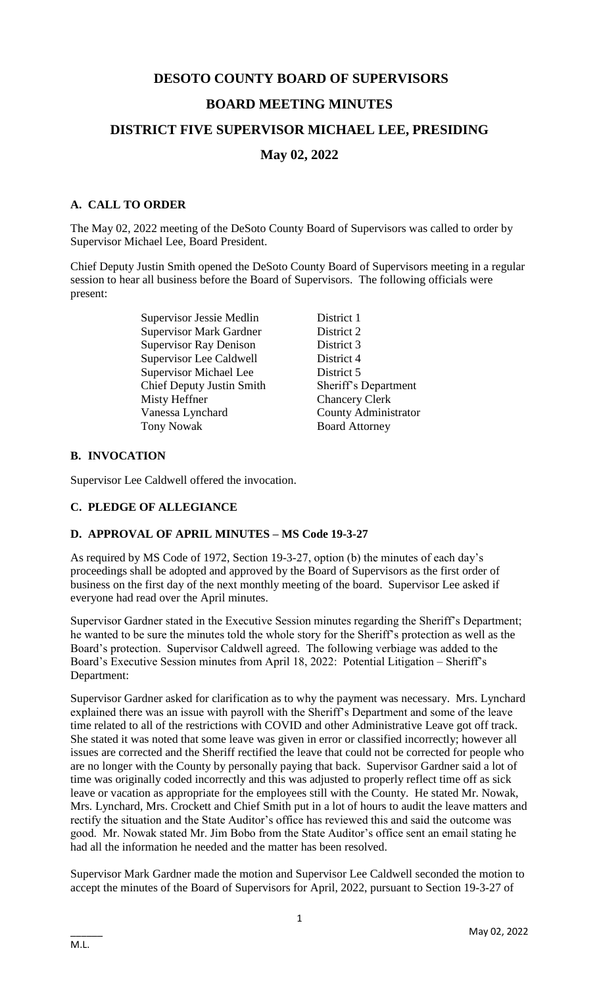# **DESOTO COUNTY BOARD OF SUPERVISORS BOARD MEETING MINUTES DISTRICT FIVE SUPERVISOR MICHAEL LEE, PRESIDING**

# **May 02, 2022**

# **A. CALL TO ORDER**

The May 02, 2022 meeting of the DeSoto County Board of Supervisors was called to order by Supervisor Michael Lee, Board President.

Chief Deputy Justin Smith opened the DeSoto County Board of Supervisors meeting in a regular session to hear all business before the Board of Supervisors. The following officials were present:

> Supervisor Jessie Medlin District 1 Supervisor Mark Gardner District 2 Supervisor Ray Denison District 3 Supervisor Lee Caldwell District 4 Supervisor Michael Lee District 5 Chief Deputy Justin Smith Sheriff's Department Misty Heffner Chancery Clerk Vanessa Lynchard County Administrator Tony Nowak Board Attorney

# **B. INVOCATION**

Supervisor Lee Caldwell offered the invocation.

# **C. PLEDGE OF ALLEGIANCE**

# **D. APPROVAL OF APRIL MINUTES – MS Code 19-3-27**

As required by MS Code of 1972, Section 19-3-27, option (b) the minutes of each day's proceedings shall be adopted and approved by the Board of Supervisors as the first order of business on the first day of the next monthly meeting of the board. Supervisor Lee asked if everyone had read over the April minutes.

Supervisor Gardner stated in the Executive Session minutes regarding the Sheriff's Department; he wanted to be sure the minutes told the whole story for the Sheriff's protection as well as the Board's protection. Supervisor Caldwell agreed. The following verbiage was added to the Board's Executive Session minutes from April 18, 2022: Potential Litigation – Sheriff's Department:

Supervisor Gardner asked for clarification as to why the payment was necessary. Mrs. Lynchard explained there was an issue with payroll with the Sheriff's Department and some of the leave time related to all of the restrictions with COVID and other Administrative Leave got off track. She stated it was noted that some leave was given in error or classified incorrectly; however all issues are corrected and the Sheriff rectified the leave that could not be corrected for people who are no longer with the County by personally paying that back. Supervisor Gardner said a lot of time was originally coded incorrectly and this was adjusted to properly reflect time off as sick leave or vacation as appropriate for the employees still with the County. He stated Mr. Nowak, Mrs. Lynchard, Mrs. Crockett and Chief Smith put in a lot of hours to audit the leave matters and rectify the situation and the State Auditor's office has reviewed this and said the outcome was good. Mr. Nowak stated Mr. Jim Bobo from the State Auditor's office sent an email stating he had all the information he needed and the matter has been resolved.

Supervisor Mark Gardner made the motion and Supervisor Lee Caldwell seconded the motion to accept the minutes of the Board of Supervisors for April, 2022, pursuant to Section 19-3-27 of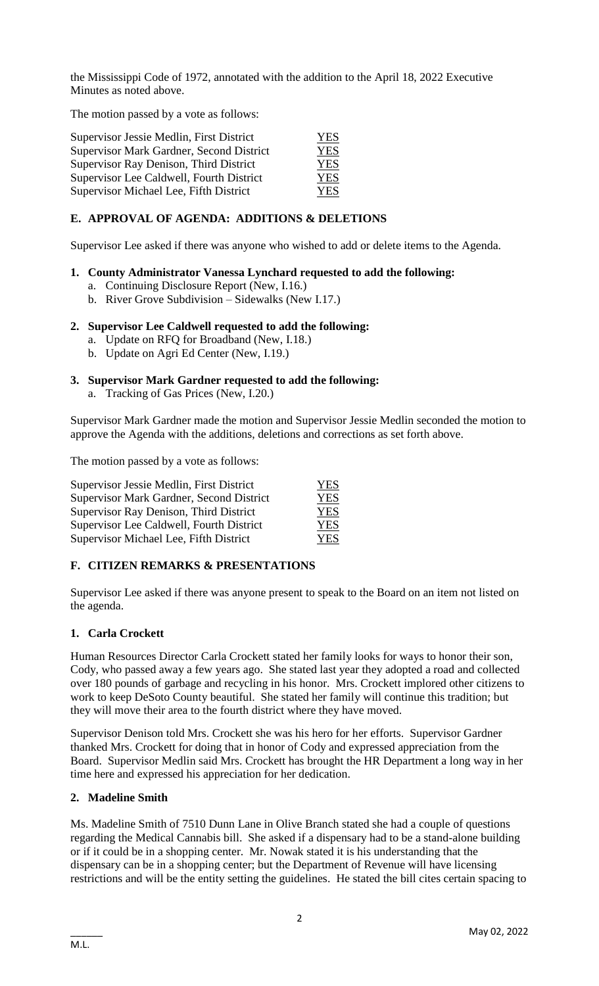the Mississippi Code of 1972, annotated with the addition to the April 18, 2022 Executive Minutes as noted above.

The motion passed by a vote as follows:

| Supervisor Jessie Medlin, First District | YES.       |
|------------------------------------------|------------|
| Supervisor Mark Gardner, Second District | YES        |
| Supervisor Ray Denison, Third District   | <b>YES</b> |
| Supervisor Lee Caldwell, Fourth District | YES        |
| Supervisor Michael Lee, Fifth District   | YES        |

# **E. APPROVAL OF AGENDA: ADDITIONS & DELETIONS**

Supervisor Lee asked if there was anyone who wished to add or delete items to the Agenda.

#### **1. County Administrator Vanessa Lynchard requested to add the following:**

- a. Continuing Disclosure Report (New, I.16.)
- b. River Grove Subdivision Sidewalks (New I.17.)

#### **2. Supervisor Lee Caldwell requested to add the following:**

- a. Update on RFQ for Broadband (New, I.18.)
- b. Update on Agri Ed Center (New, I.19.)

# **3. Supervisor Mark Gardner requested to add the following:**

a. Tracking of Gas Prices (New, I.20.)

Supervisor Mark Gardner made the motion and Supervisor Jessie Medlin seconded the motion to approve the Agenda with the additions, deletions and corrections as set forth above.

The motion passed by a vote as follows:

| Supervisor Jessie Medlin, First District | <b>YES</b> |
|------------------------------------------|------------|
| Supervisor Mark Gardner, Second District | <b>YES</b> |
| Supervisor Ray Denison, Third District   | <b>YES</b> |
| Supervisor Lee Caldwell, Fourth District | <b>YES</b> |
| Supervisor Michael Lee, Fifth District   | <b>YES</b> |

# **F. CITIZEN REMARKS & PRESENTATIONS**

Supervisor Lee asked if there was anyone present to speak to the Board on an item not listed on the agenda.

# **1. Carla Crockett**

Human Resources Director Carla Crockett stated her family looks for ways to honor their son, Cody, who passed away a few years ago. She stated last year they adopted a road and collected over 180 pounds of garbage and recycling in his honor. Mrs. Crockett implored other citizens to work to keep DeSoto County beautiful. She stated her family will continue this tradition; but they will move their area to the fourth district where they have moved.

Supervisor Denison told Mrs. Crockett she was his hero for her efforts. Supervisor Gardner thanked Mrs. Crockett for doing that in honor of Cody and expressed appreciation from the Board. Supervisor Medlin said Mrs. Crockett has brought the HR Department a long way in her time here and expressed his appreciation for her dedication.

# **2. Madeline Smith**

Ms. Madeline Smith of 7510 Dunn Lane in Olive Branch stated she had a couple of questions regarding the Medical Cannabis bill. She asked if a dispensary had to be a stand-alone building or if it could be in a shopping center. Mr. Nowak stated it is his understanding that the dispensary can be in a shopping center; but the Department of Revenue will have licensing restrictions and will be the entity setting the guidelines. He stated the bill cites certain spacing to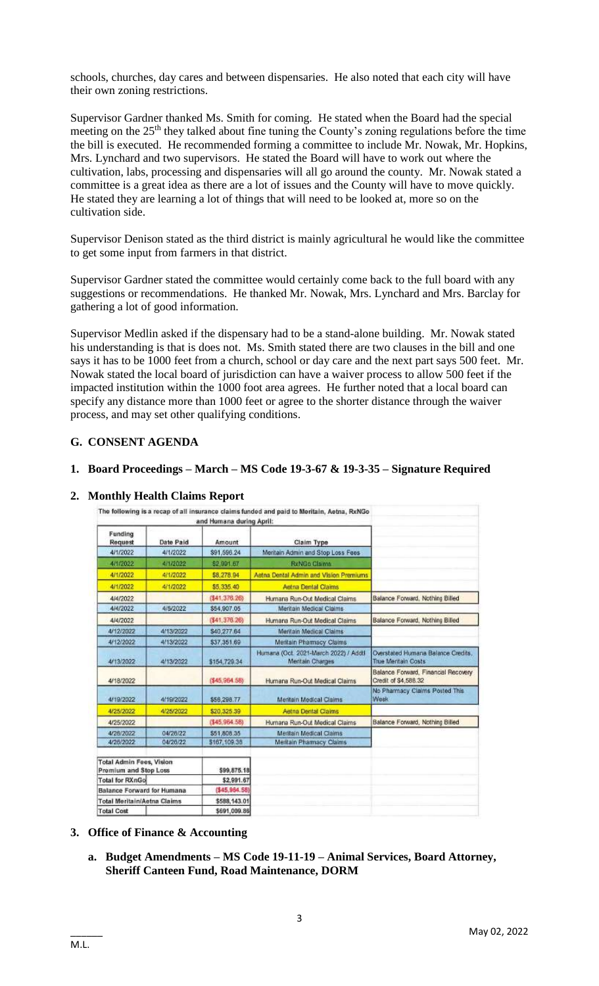schools, churches, day cares and between dispensaries. He also noted that each city will have their own zoning restrictions.

Supervisor Gardner thanked Ms. Smith for coming. He stated when the Board had the special meeting on the  $25<sup>th</sup>$  they talked about fine tuning the County's zoning regulations before the time the bill is executed. He recommended forming a committee to include Mr. Nowak, Mr. Hopkins, Mrs. Lynchard and two supervisors. He stated the Board will have to work out where the cultivation, labs, processing and dispensaries will all go around the county. Mr. Nowak stated a committee is a great idea as there are a lot of issues and the County will have to move quickly. He stated they are learning a lot of things that will need to be looked at, more so on the cultivation side.

Supervisor Denison stated as the third district is mainly agricultural he would like the committee to get some input from farmers in that district.

Supervisor Gardner stated the committee would certainly come back to the full board with any suggestions or recommendations. He thanked Mr. Nowak, Mrs. Lynchard and Mrs. Barclay for gathering a lot of good information.

Supervisor Medlin asked if the dispensary had to be a stand-alone building. Mr. Nowak stated his understanding is that is does not. Ms. Smith stated there are two clauses in the bill and one says it has to be 1000 feet from a church, school or day care and the next part says 500 feet. Mr. Nowak stated the local board of jurisdiction can have a waiver process to allow 500 feet if the impacted institution within the 1000 foot area agrees. He further noted that a local board can specify any distance more than 1000 feet or agree to the shorter distance through the waiver process, and may set other qualifying conditions.

# **G. CONSENT AGENDA**

# **1. Board Proceedings – March – MS Code 19-3-67 & 19-3-35 – Signature Required**

|                                                          |           | and Humana during April: |                                                           |                                                                  |
|----------------------------------------------------------|-----------|--------------------------|-----------------------------------------------------------|------------------------------------------------------------------|
| Funding<br>Request                                       | Date Paid | Amount                   | Claim Type                                                |                                                                  |
| 4/1/2022                                                 | 4/1/2022  | \$91,596.24              | Meritain Admin and Stop Loss Fees                         |                                                                  |
| 4/1/2022                                                 | 4/1/2022  | \$2,991.67               | <b>RxNGo Clsims</b>                                       |                                                                  |
| 4/1/2022                                                 | 4/1/2022  | \$8,278.94               | Aetna Dental Admin and Vision Premiums                    |                                                                  |
| 4/1/2022                                                 | 4/1/2022  | \$5,335.40               | Aetna Dental Claims                                       |                                                                  |
| 4/4/2022                                                 |           | (141, 376, 26)           | Humana Run-Out Medical Claims                             | Balance Forward, Nothing Billed                                  |
| 4/4/2022                                                 | 4/5/2022  | \$54,907.05              | Meritain Medical Claims                                   |                                                                  |
| 4/4/2022                                                 |           | (541, 376, 26)           | Humana Run-Out Medical Claims                             | Balance Forward, Nothing Billed                                  |
| 4/12/2022                                                | 4/13/2022 | \$40,277.64              | Meritain Medical Claims                                   |                                                                  |
| 4/12/2022                                                | 4/13/2022 | \$37,351.69              | Meritain Pharmacy Claims                                  |                                                                  |
| 4/13/2022                                                | 4/13/2022 | \$154,729.34             | Humana (Oct. 2021-March 2022) / Adott<br>Meritain Charges | Overstated Humana Balance Credits.<br><b>True Meritain Costs</b> |
| 4/18/2022                                                |           | (\$45,964.58)            | Humana Run-Out Medical Claims                             | Balance Forward, Financial Recovery<br>Credit of \$4,586.32      |
| 4/19/2022                                                | 4/19/2022 | \$56,298.77              | Meritain Medical Claims                                   | No Pharmacy Claims Posted This<br>Week                           |
| 4/25/2022                                                | 4/25/2022 | \$20,325.39              | Aetna Dental Claims                                       |                                                                  |
| 4/25/2022                                                |           | (\$45,964,58)            | Humana Run-Out Medical Claims                             | Balance Forward, Nothing Billed                                  |
| 4/26/2022                                                | 04/26/22  | \$51,808.35              | Meritain Medical Claims                                   |                                                                  |
| 4/26/2022                                                | 04/26/22  | \$167,109.38             | Meritain Pharmacy Claims                                  |                                                                  |
| <b>Total Admin Fees, Vision</b><br>Premium and Stop Loss |           | \$99,875.18              |                                                           |                                                                  |
| <b>Total for RXnGo</b>                                   |           | \$2,991.67               |                                                           |                                                                  |
| <b>Balance Forward for Humana</b>                        |           | ( \$45.964.58]           |                                                           |                                                                  |
| <b>Total Meritain/Aetna Claims</b>                       |           | \$588,143.01             |                                                           |                                                                  |
| <b>Total Cost</b>                                        |           | \$691,009.86             |                                                           |                                                                  |

#### **2. Monthly Health Claims Report**

#### **3. Office of Finance & Accounting**

**a. Budget Amendments – MS Code 19-11-19 – Animal Services, Board Attorney, Sheriff Canteen Fund, Road Maintenance, DORM**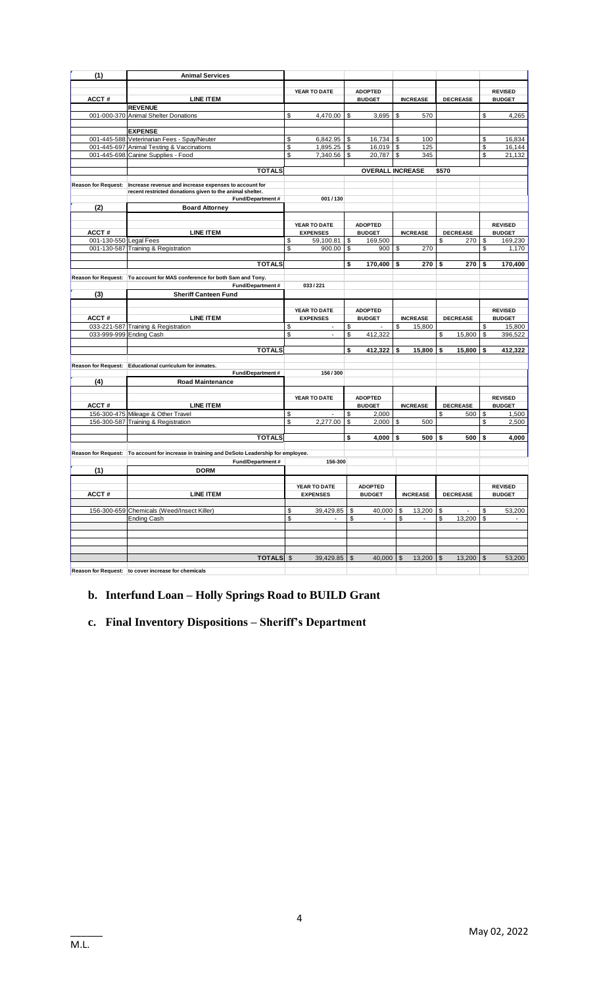| (1)                     | <b>Animal Services</b>                                                                      |                                |                         |              |                 |                          |              |                |
|-------------------------|---------------------------------------------------------------------------------------------|--------------------------------|-------------------------|--------------|-----------------|--------------------------|--------------|----------------|
|                         |                                                                                             |                                |                         |              |                 |                          |              |                |
|                         |                                                                                             | YEAR TO DATE                   | <b>ADOPTED</b>          |              |                 |                          |              | <b>REVISED</b> |
| ACCT#                   | <b>LINE ITEM</b>                                                                            |                                | <b>BUDGET</b>           |              | <b>INCREASE</b> | <b>DECREASE</b>          |              | <b>BUDGET</b>  |
|                         | <b>REVENUE</b>                                                                              |                                |                         |              |                 |                          |              |                |
|                         | 001-000-370 Animal Shelter Donations                                                        | \$<br>4,470.00                 | \$<br>3,695             | \$           | 570             |                          | \$           | 4,265          |
|                         |                                                                                             |                                |                         |              |                 |                          |              |                |
|                         | <b>EXPENSE</b>                                                                              |                                |                         |              |                 |                          |              |                |
|                         | 001-445-588 Veterinarian Fees - Spay/Neuter                                                 | \$<br>6,842.95                 | \$<br>16,734            | \$           | 100             |                          | \$           | 16,834         |
|                         | 001-445-697 Animal Testing & Vaccinations                                                   | \$<br>1,895.25                 | \$<br>16,019            | \$           | 125             |                          | \$           | 16,144         |
|                         | 001-445-698 Canine Supplies - Food                                                          | \$<br>7,340.56                 | \$<br>20,787            | \$           | 345             |                          | \$           | 21,132         |
|                         |                                                                                             |                                |                         |              |                 |                          |              |                |
|                         | <b>TOTALS</b>                                                                               |                                | <b>OVERALL INCREASE</b> |              |                 | \$570                    |              |                |
|                         | Reason for Request:   Increase revenue and increase expenses to account for                 |                                |                         |              |                 |                          |              |                |
|                         | recent restricted donations given to the animal shelter.                                    |                                |                         |              |                 |                          |              |                |
|                         | Fund/Department#                                                                            | 001/130                        |                         |              |                 |                          |              |                |
| (2)                     | <b>Board Attorney</b>                                                                       |                                |                         |              |                 |                          |              |                |
|                         |                                                                                             |                                |                         |              |                 |                          |              |                |
|                         |                                                                                             | YEAR TO DATE                   | <b>ADOPTED</b>          |              |                 |                          |              | <b>REVISED</b> |
| ACCT#                   | <b>LINE ITEM</b>                                                                            | <b>EXPENSES</b>                | <b>BUDGET</b>           |              | <b>INCREASE</b> | <b>DECREASE</b>          |              | <b>BUDGET</b>  |
| 001-130-550 Legal Fees  |                                                                                             | \$<br>59,100.81                | \$<br>169,500           |              |                 | 270<br>\$                | \$           | 169,230        |
|                         | 001-130-587 Training & Registration                                                         | \$<br>900.00                   | \$<br>900               | \$           | 270             |                          | \$           | 1,170          |
|                         |                                                                                             |                                |                         |              |                 |                          |              |                |
|                         | <b>TOTALS</b>                                                                               |                                | \$<br>170,400           | \$           | 270             | 270<br>\$                | \$           | 170,400        |
|                         |                                                                                             |                                |                         |              |                 |                          |              |                |
|                         | Reason for Request: To account for MAS conference for both Sam and Tony.                    |                                |                         |              |                 |                          |              |                |
|                         | Fund/Department#                                                                            | 033/221                        |                         |              |                 |                          |              |                |
| (3)                     | <b>Sheriff Canteen Fund</b>                                                                 |                                |                         |              |                 |                          |              |                |
|                         |                                                                                             |                                |                         |              |                 |                          |              |                |
|                         |                                                                                             | YEAR TO DATE                   | <b>ADOPTED</b>          |              |                 |                          |              | <b>REVISED</b> |
| ACCT#                   | <b>LINE ITEM</b>                                                                            | <b>EXPENSES</b>                | <b>BUDGET</b>           |              | <b>INCREASE</b> | <b>DECREASE</b>          |              | <b>BUDGET</b>  |
|                         | 033-221-587 Training & Registration                                                         | \$                             | \$                      | \$           | 15,800          |                          | \$           | 15,800         |
| 033-999-999 Ending Cash |                                                                                             | \$<br>$\overline{\phantom{a}}$ | \$<br>412,322           |              |                 | \$<br>15,800             | \$           | 396,522        |
|                         |                                                                                             |                                |                         |              |                 |                          |              |                |
|                         | <b>TOTALS</b>                                                                               |                                | \$<br>412,322           | \$           | 15,800          | \$<br>15,800             | \$           | 412,322        |
|                         |                                                                                             |                                |                         |              |                 |                          |              |                |
|                         | Reason for Request: Educational curriculum for inmates.                                     |                                |                         |              |                 |                          |              |                |
|                         | Fund/Department#                                                                            | 156/300                        |                         |              |                 |                          |              |                |
| (4)                     | <b>Road Maintenance</b>                                                                     |                                |                         |              |                 |                          |              |                |
|                         |                                                                                             |                                |                         |              |                 |                          |              |                |
|                         |                                                                                             | YEAR TO DATE                   | <b>ADOPTED</b>          |              |                 |                          |              | <b>REVISED</b> |
| ACCT#                   | <b>LINE ITEM</b>                                                                            |                                | <b>BUDGET</b>           |              | <b>INCREASE</b> | <b>DECREASE</b>          |              | <b>BUDGET</b>  |
|                         | 156-300-475 Mileage & Other Travel                                                          | \$                             | \$<br>2,000             |              |                 | \$<br>500                | \$           | 1,500          |
|                         | 156-300-587 Training & Registration                                                         | \$<br>2,277.00                 | \$<br>2,000             | \$           | 500             |                          | \$           | 2,500          |
|                         |                                                                                             |                                |                         |              |                 |                          |              |                |
|                         | <b>TOTALS</b>                                                                               |                                | \$<br>4,000             | \$           | 500             | \$<br>500                | \$           | 4,000          |
|                         |                                                                                             |                                |                         |              |                 |                          |              |                |
|                         | Reason for Request: To account for increase in training and DeSoto Leadership for employee. |                                |                         |              |                 |                          |              |                |
|                         | Fund/Department#                                                                            | 156-300                        |                         |              |                 |                          |              |                |
| (1)                     | <b>DORM</b>                                                                                 |                                |                         |              |                 |                          |              |                |
|                         |                                                                                             |                                |                         |              |                 |                          |              |                |
|                         |                                                                                             | YEAR TO DATE                   | <b>ADOPTED</b>          |              |                 |                          |              | <b>REVISED</b> |
| ACCT#                   | <b>LINE ITEM</b>                                                                            | <b>EXPENSES</b>                | <b>BUDGET</b>           |              | <b>INCREASE</b> | <b>DECREASE</b>          |              | <b>BUDGET</b>  |
|                         |                                                                                             |                                |                         |              |                 |                          |              |                |
|                         | 156-300-659 Chemicals (Weed/Insect Killer)                                                  | \$<br>39,429.85                | \$<br>40,000            | \$           | 13,200          | \$<br>$\sim$             | \$           | 53,200         |
|                         | Ending Cash                                                                                 | \$                             | \$                      | \$           |                 | \$<br>13,200             | \$           |                |
|                         |                                                                                             |                                |                         |              |                 |                          |              |                |
|                         |                                                                                             |                                |                         |              |                 |                          |              |                |
|                         |                                                                                             |                                |                         |              |                 |                          |              |                |
|                         |                                                                                             |                                |                         |              |                 |                          |              |                |
|                         | TOTALS \$                                                                                   | 39.429.85                      | $\mathbb{S}$<br>40.000  | $\mathbb{S}$ | 13.200          | 13.200<br>$\mathfrak{S}$ | $\mathbb{S}$ | 53.200         |
|                         |                                                                                             |                                |                         |              |                 |                          |              |                |
|                         | Reason for Request: to cover increase for chemicals                                         |                                |                         |              |                 |                          |              |                |

#### **Reason for Request: to cover increase for chemicals**

# **b. Interfund Loan – Holly Springs Road to BUILD Grant**

# **c. Final Inventory Dispositions – Sheriff's Department**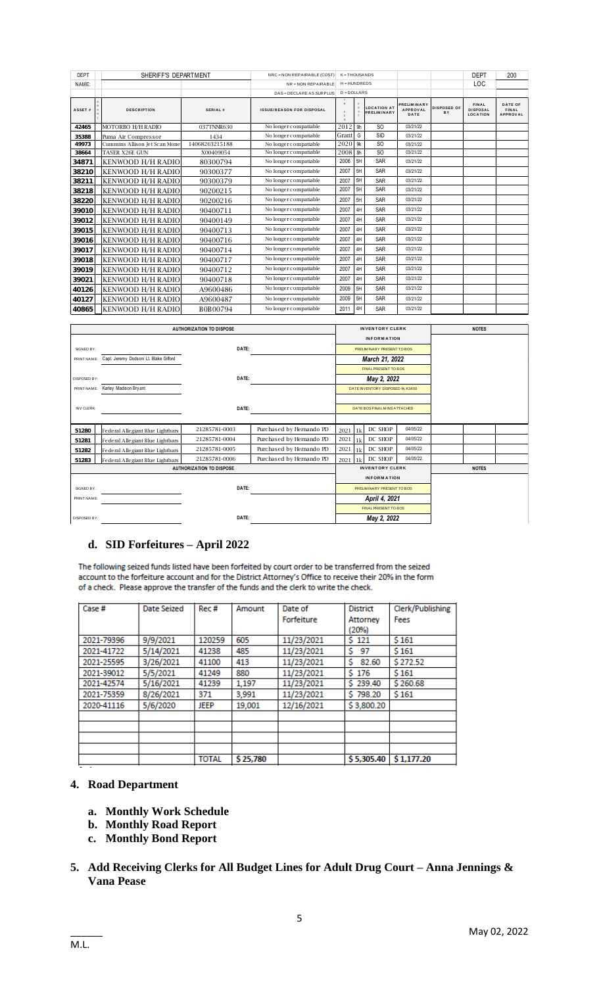| DEPT<br>SHERIFF'S DEPARTMENT |  | NRC = NON REPAIRABLE (COST)   | $K = THOUSANDS$                 |                                  |                |                | <b>DEPT</b>                              | 200                                    |                   |                                                    |                                            |
|------------------------------|--|-------------------------------|---------------------------------|----------------------------------|----------------|----------------|------------------------------------------|----------------------------------------|-------------------|----------------------------------------------------|--------------------------------------------|
| NAME:                        |  |                               |                                 | NR = NON REPAIRABLE              | $H = HUNDREDS$ |                |                                          |                                        | LOC               |                                                    |                                            |
|                              |  |                               |                                 | DAS = DECLARE AS SURPLUS         |                | $D = DOLLARS$  |                                          |                                        |                   |                                                    |                                            |
| ASSET#                       |  | <b>DESCRIPTION</b>            | SERIAL#                         | <b>ISSUE/REASON FOR DISPOSAL</b> | $\Omega$       |                | <b>LOCATION AT</b><br><b>PRELIMINARY</b> | PRELIMINARY<br><b>APPROVAL</b><br>DATE | DISPOSED OF<br>BY | <b>FINAL</b><br><b>DISPOSAL</b><br><b>LOCATION</b> | DATE OF<br><b>FINAL</b><br><b>APPROVAL</b> |
| 42465                        |  | MOTORBO H/H RADIO             | 037TNNR630                      | No longer compatiable            | 2012           | 9h             | S <sub>O</sub>                           | 03/21/22                               |                   |                                                    |                                            |
| 35388                        |  | Puma Air Compressor           | 1434                            | No longer compatiable            | Grant          | G              | <b>SID</b>                               | 03/21/22                               |                   |                                                    |                                            |
| 49973                        |  | Cummins Allison Jet Scan Mone | 14068263215188                  | No longer compatiable            | 2020           | 9k             | S <sub>O</sub>                           | 03/21/22                               |                   |                                                    |                                            |
| 38664                        |  | <b>TASER X26E GUN</b>         | X00409054                       | No longer compatiable            | 2008           | 8h             | S <sub>O</sub>                           | 03/21/22                               |                   |                                                    |                                            |
| 34871                        |  | KENWOOD H/H RADIO             | 80300794                        | No longer compatiable            | 2006           | 5H             | SAR                                      | 03/21/22                               |                   |                                                    |                                            |
| 38210                        |  | KENWOOD H/H RADIO             | 90300377                        | No longer compatiable            | 2007           | 5H             | SAR                                      | 03/21/22                               |                   |                                                    |                                            |
| 38211                        |  | KENWOOD H/H RADIO             | 90300379                        | No longer compatiable            | 2007           | 5H             | SAR                                      | 03/21/22                               |                   |                                                    |                                            |
| 38218                        |  | KENWOOD H/H RADIO             | 90200215                        | No longer compatiable            | 2007           | 5H             | <b>SAR</b>                               | 03/21/22                               |                   |                                                    |                                            |
| 38220                        |  | KENWOOD H/H RADIO             | 90200216                        | No longer compatiable            | 2007           | 5H             | <b>SAR</b>                               | 03/21/22                               |                   |                                                    |                                            |
| 39010                        |  | KENWOOD H/H RADIO             | 90400711                        | No longer compatiable            | 2007           | 4H             | <b>SAR</b>                               | 03/21/22                               |                   |                                                    |                                            |
| 39012                        |  | KENWOOD H/H RADIO             | 90400149                        | No longer compatiable            | 2007           | 4H             | SAR                                      | 03/21/22                               |                   |                                                    |                                            |
| 39015                        |  | KENWOOD H/H RADIO             | 90400713                        | No longer compatiable            | 2007           | 4H             | SAR                                      | 03/21/22                               |                   |                                                    |                                            |
| 39016                        |  | <b>KENWOOD H/H RADIO</b>      | 90400716                        | No longer compatiable            | 2007           | 4H             | SAR                                      | 03/21/22                               |                   |                                                    |                                            |
| 39017                        |  | KENWOOD H/H RADIO             | 90400714                        | No longer compatiable            | 2007           | 4H             | SAR                                      | 03/21/22                               |                   |                                                    |                                            |
| 39018                        |  | KENWOOD H/H RADIO             | 90400717                        | No longer compatiable            | 2007           | 4H             | SAR                                      | 03/21/22                               |                   |                                                    |                                            |
| 39019                        |  | KENWOOD H/H RADIO             | 90400712                        | No longer compatiable            | 2007           | 4H             | SAR                                      | 03/21/22                               |                   |                                                    |                                            |
| 39021                        |  | KENWOOD H/H RADIO             | 90400718                        | No longer compatiable            | 2007           | 4H             | <b>SAR</b>                               | 03/21/22                               |                   |                                                    |                                            |
| 40126                        |  | KENWOOD H/H RADIO             | A9600486                        | No longer compatiable            | 2009           | 5H             | SAR                                      | 03/21/22                               |                   |                                                    |                                            |
| 40127                        |  | KENWOOD H/H RADIO             | A9600487                        | No longer compatiable            | 2009           | 5H             | SAR                                      | 03/21/22                               |                   |                                                    |                                            |
| 40865                        |  | KENWOOD H/H RADIO             | B0B00794                        | No longer compatiable            | 2011           | 4H             | SAR                                      | 03/21/22                               |                   |                                                    |                                            |
|                              |  |                               |                                 |                                  |                |                |                                          |                                        |                   |                                                    |                                            |
|                              |  |                               | <b>AUTHORIZATION TO DISPOSE</b> |                                  |                |                | <b>INVENTORY CLERK</b>                   |                                        |                   | <b>NOTES</b>                                       |                                            |
|                              |  |                               |                                 |                                  |                | . <del>.</del> |                                          |                                        |                   |                                                    |                                            |

|                                 | 40865   KENWOOD H/H RADIO              | B0B00794                        | No longer compatiable      | 2011 4H                      |                      | SAR                              | 03/21/22 |              |              |  |
|---------------------------------|----------------------------------------|---------------------------------|----------------------------|------------------------------|----------------------|----------------------------------|----------|--------------|--------------|--|
|                                 |                                        |                                 |                            |                              |                      |                                  |          |              |              |  |
| <b>AUTHORIZATION TO DISPOSE</b> |                                        |                                 |                            |                              |                      | <b>INVENTORY CLERK</b>           |          |              | <b>NOTES</b> |  |
|                                 |                                        |                                 |                            |                              |                      | <b>INFORMATION</b>               |          |              |              |  |
| SIGNED BY:                      |                                        | DATE:                           |                            |                              |                      | PRELIMINARY PRESENT TO BOS       |          |              |              |  |
| PRINT NAME:                     | Capt. Jeremy Dodson/ Lt. Blake Gifford |                                 |                            |                              |                      | March 21, 2022                   |          |              |              |  |
|                                 |                                        |                                 |                            |                              |                      | FINAL PRESENT TO BOS             |          |              |              |  |
| DISPOSED BY:                    |                                        | DATE:                           |                            |                              |                      | May 2, 2022                      |          |              |              |  |
| PRINT NAME:                     | Karley Madison Bry ant                 |                                 |                            |                              |                      | DATE INVENTORY DISPOSED IN AS400 |          |              |              |  |
|                                 |                                        |                                 |                            |                              |                      |                                  |          |              |              |  |
| <b>INV CLERK:</b>               | DATE:                                  |                                 |                            | DATE BOS FINAL MINS ATTACHED |                      |                                  |          |              |              |  |
|                                 |                                        |                                 |                            |                              |                      |                                  |          |              |              |  |
| 51280                           | Fe de ral Alle giant Blue Lightbars    | 21285781-0003                   | Purchased by Hernando PD   | 2021                         | 1 <sup>k</sup>       | DC SHOP                          | 04/05/22 |              |              |  |
| 51281                           | Fe de ral Alle giant Blue Lightbars    | 21285781-0004                   | Purchased by Hernando PD   | 2021                         | 1 <sub>k</sub>       | DC SHOP                          | 04/05/22 |              |              |  |
| 51282                           | Fe de ral Alle giant Blue Lightbars    | 21285781-0005                   | Purchased by Hernando PD   | 2021                         | 1k                   | DC SHOP                          | 04/05/22 |              |              |  |
| 51283                           | Fe de ral Alle giant Blue Lightbars    | 21285781-0006                   | Purchased by Hernando PD   | 2021 1k                      |                      | DC SHOP                          | 04/05/22 |              |              |  |
|                                 |                                        | <b>AUTHORIZATION TO DISPOSE</b> |                            | <b>INVENTORY CLERK</b>       |                      |                                  |          | <b>NOTES</b> |              |  |
|                                 |                                        |                                 |                            |                              |                      | <b>INFORMATION</b>               |          |              |              |  |
| SIGNED BY:                      | DATE:                                  |                                 | PRELIMINARY PRESENT TO BOS |                              |                      |                                  |          |              |              |  |
| PRINT NAME:                     |                                        |                                 |                            |                              | April 4, 2021        |                                  |          |              |              |  |
|                                 |                                        |                                 |                            |                              | FINAL PRESENT TO BOS |                                  |          |              |              |  |
| DISPOSED BY:                    |                                        | DATE:                           |                            |                              |                      | May 2, 2022                      |          |              |              |  |

#### **d. SID Forfeitures – April 2022**

The following seized funds listed have been forfeited by court order to be transferred from the seized account to the forfeiture account and for the District Attorney's Office to receive their 20% in the form of a check. Please approve the transfer of the funds and the clerk to write the check.

| Case #     | <b>Date Seized</b> | Rec#         | Amount   | Date of    | <b>District</b> | Clerk/Publishing |
|------------|--------------------|--------------|----------|------------|-----------------|------------------|
|            |                    |              |          | Forfeiture | Attorney        | Fees             |
|            |                    |              |          |            | (20%)           |                  |
| 2021-79396 | 9/9/2021           | 120259       | 605      | 11/23/2021 | \$121           | \$161            |
| 2021-41722 | 5/14/2021          | 41238        | 485      | 11/23/2021 | s<br>97         | \$161            |
| 2021-25595 | 3/26/2021          | 41100        | 413      | 11/23/2021 | 82.60<br>s      | \$272.52         |
| 2021-39012 | 5/5/2021           | 41249        | 880      | 11/23/2021 | 5176            | \$161            |
| 2021-42574 | 5/16/2021          | 41239        | 1.197    | 11/23/2021 | \$239.40        | \$260.68         |
| 2021-75359 | 8/26/2021          | 371          | 3,991    | 11/23/2021 | \$798.20        | \$161            |
| 2020-41116 | 5/6/2020           | <b>JEEP</b>  | 19,001   | 12/16/2021 | \$3,800.20      |                  |
|            |                    |              |          |            |                 |                  |
|            |                    |              |          |            |                 |                  |
|            |                    |              |          |            |                 |                  |
|            |                    |              |          |            |                 |                  |
|            |                    | <b>TOTAL</b> | \$25,780 |            | \$5,305.40      | \$1,177,20       |

# **4. Road Department**

- **a. Monthly Work Schedule**
- **b. Monthly Road Report**
- **c. Monthly Bond Report**
- **5. Add Receiving Clerks for All Budget Lines for Adult Drug Court – Anna Jennings & Vana Pease**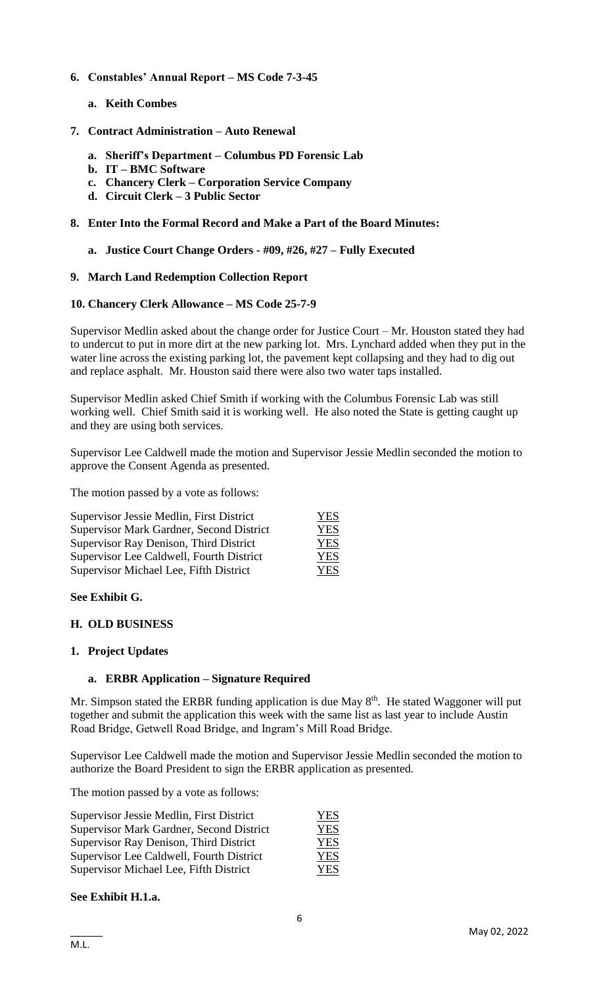# **6. Constables' Annual Report – MS Code 7-3-45**

**a. Keith Combes**

#### **7. Contract Administration – Auto Renewal**

- **a. Sheriff's Department – Columbus PD Forensic Lab**
- **b. IT – BMC Software**
- **c. Chancery Clerk – Corporation Service Company**
- **d. Circuit Clerk – 3 Public Sector**

# **8. Enter Into the Formal Record and Make a Part of the Board Minutes:**

#### **a. Justice Court Change Orders - #09, #26, #27 – Fully Executed**

#### **9. March Land Redemption Collection Report**

#### **10. Chancery Clerk Allowance – MS Code 25-7-9**

Supervisor Medlin asked about the change order for Justice Court – Mr. Houston stated they had to undercut to put in more dirt at the new parking lot. Mrs. Lynchard added when they put in the water line across the existing parking lot, the pavement kept collapsing and they had to dig out and replace asphalt. Mr. Houston said there were also two water taps installed.

Supervisor Medlin asked Chief Smith if working with the Columbus Forensic Lab was still working well. Chief Smith said it is working well. He also noted the State is getting caught up and they are using both services.

Supervisor Lee Caldwell made the motion and Supervisor Jessie Medlin seconded the motion to approve the Consent Agenda as presented.

The motion passed by a vote as follows:

| Supervisor Jessie Medlin, First District | <b>YES</b> |
|------------------------------------------|------------|
| Supervisor Mark Gardner, Second District | <b>YES</b> |
| Supervisor Ray Denison, Third District   | <b>YES</b> |
| Supervisor Lee Caldwell, Fourth District | YES        |
| Supervisor Michael Lee, Fifth District   | <b>YES</b> |

#### **See Exhibit G.**

#### **H. OLD BUSINESS**

#### **1. Project Updates**

#### **a. ERBR Application – Signature Required**

Mr. Simpson stated the ERBR funding application is due May  $8<sup>th</sup>$ . He stated Waggoner will put together and submit the application this week with the same list as last year to include Austin Road Bridge, Getwell Road Bridge, and Ingram's Mill Road Bridge.

Supervisor Lee Caldwell made the motion and Supervisor Jessie Medlin seconded the motion to authorize the Board President to sign the ERBR application as presented.

The motion passed by a vote as follows:

| Supervisor Jessie Medlin, First District | YES        |
|------------------------------------------|------------|
| Supervisor Mark Gardner, Second District | YES        |
| Supervisor Ray Denison, Third District   | <b>YES</b> |
| Supervisor Lee Caldwell, Fourth District | YES        |
| Supervisor Michael Lee, Fifth District   | YES        |

#### **See Exhibit H.1.a.**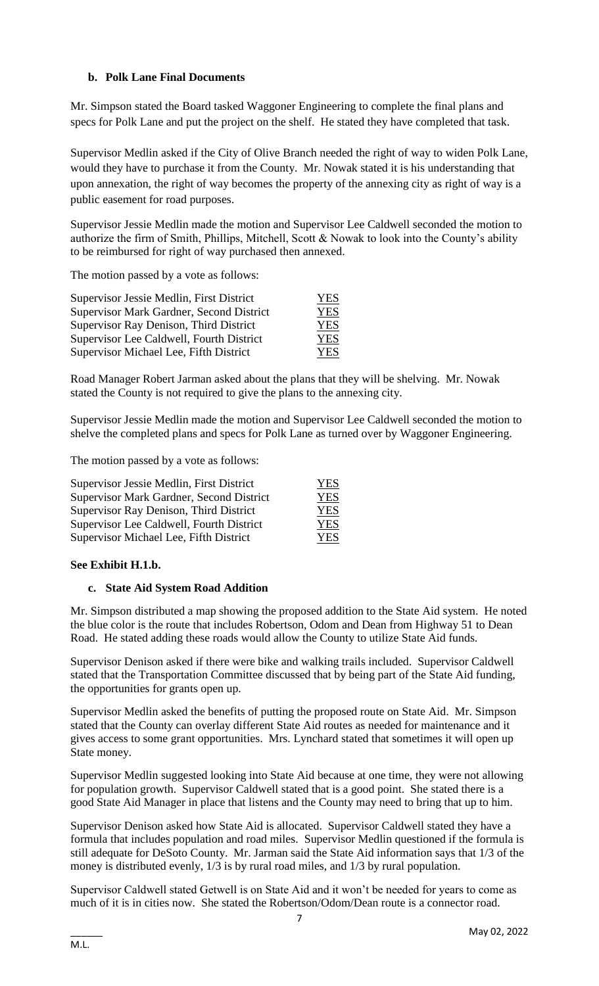# **b. Polk Lane Final Documents**

Mr. Simpson stated the Board tasked Waggoner Engineering to complete the final plans and specs for Polk Lane and put the project on the shelf. He stated they have completed that task.

Supervisor Medlin asked if the City of Olive Branch needed the right of way to widen Polk Lane, would they have to purchase it from the County. Mr. Nowak stated it is his understanding that upon annexation, the right of way becomes the property of the annexing city as right of way is a public easement for road purposes.

Supervisor Jessie Medlin made the motion and Supervisor Lee Caldwell seconded the motion to authorize the firm of Smith, Phillips, Mitchell, Scott & Nowak to look into the County's ability to be reimbursed for right of way purchased then annexed.

The motion passed by a vote as follows:

| Supervisor Jessie Medlin, First District | <b>YES</b> |
|------------------------------------------|------------|
| Supervisor Mark Gardner, Second District | <b>YES</b> |
| Supervisor Ray Denison, Third District   | <b>YES</b> |
| Supervisor Lee Caldwell, Fourth District | <b>YES</b> |
| Supervisor Michael Lee, Fifth District   | <b>YES</b> |

Road Manager Robert Jarman asked about the plans that they will be shelving. Mr. Nowak stated the County is not required to give the plans to the annexing city.

Supervisor Jessie Medlin made the motion and Supervisor Lee Caldwell seconded the motion to shelve the completed plans and specs for Polk Lane as turned over by Waggoner Engineering.

The motion passed by a vote as follows:

| Supervisor Jessie Medlin, First District | <b>YES</b> |
|------------------------------------------|------------|
| Supervisor Mark Gardner, Second District | <b>YES</b> |
| Supervisor Ray Denison, Third District   | <b>YES</b> |
| Supervisor Lee Caldwell, Fourth District | <b>YES</b> |
| Supervisor Michael Lee, Fifth District   | <b>YES</b> |

# **See Exhibit H.1.b.**

#### **c. State Aid System Road Addition**

Mr. Simpson distributed a map showing the proposed addition to the State Aid system. He noted the blue color is the route that includes Robertson, Odom and Dean from Highway 51 to Dean Road. He stated adding these roads would allow the County to utilize State Aid funds.

Supervisor Denison asked if there were bike and walking trails included. Supervisor Caldwell stated that the Transportation Committee discussed that by being part of the State Aid funding, the opportunities for grants open up.

Supervisor Medlin asked the benefits of putting the proposed route on State Aid. Mr. Simpson stated that the County can overlay different State Aid routes as needed for maintenance and it gives access to some grant opportunities. Mrs. Lynchard stated that sometimes it will open up State money.

Supervisor Medlin suggested looking into State Aid because at one time, they were not allowing for population growth. Supervisor Caldwell stated that is a good point. She stated there is a good State Aid Manager in place that listens and the County may need to bring that up to him.

Supervisor Denison asked how State Aid is allocated. Supervisor Caldwell stated they have a formula that includes population and road miles. Supervisor Medlin questioned if the formula is still adequate for DeSoto County. Mr. Jarman said the State Aid information says that 1/3 of the money is distributed evenly, 1/3 is by rural road miles, and 1/3 by rural population.

Supervisor Caldwell stated Getwell is on State Aid and it won't be needed for years to come as much of it is in cities now. She stated the Robertson/Odom/Dean route is a connector road.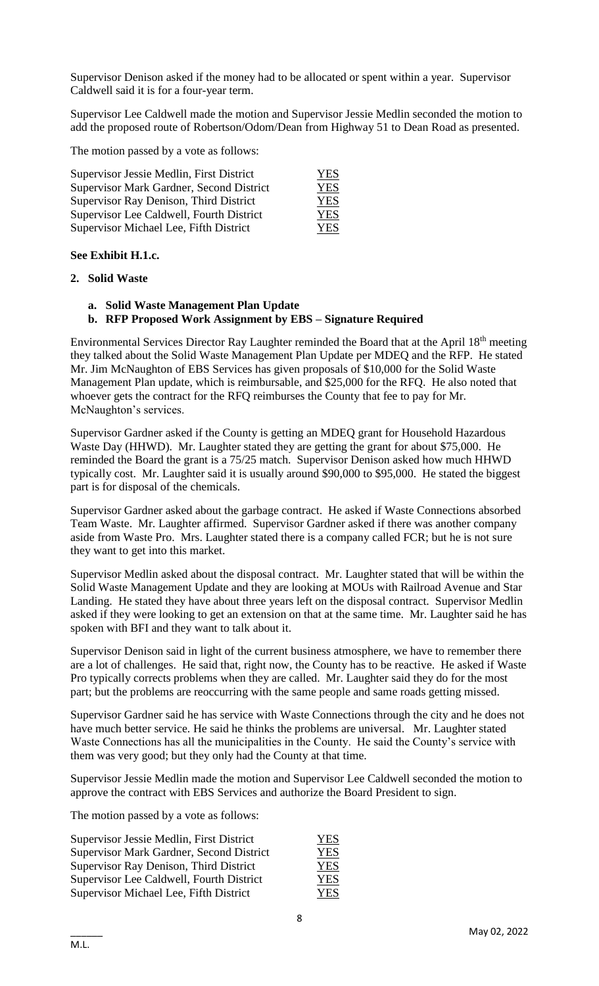Supervisor Denison asked if the money had to be allocated or spent within a year. Supervisor Caldwell said it is for a four-year term.

Supervisor Lee Caldwell made the motion and Supervisor Jessie Medlin seconded the motion to add the proposed route of Robertson/Odom/Dean from Highway 51 to Dean Road as presented.

The motion passed by a vote as follows:

| Supervisor Jessie Medlin, First District        | <b>YES</b> |
|-------------------------------------------------|------------|
| <b>Supervisor Mark Gardner, Second District</b> | <b>YES</b> |
| Supervisor Ray Denison, Third District          | <b>YES</b> |
| Supervisor Lee Caldwell, Fourth District        | <b>YES</b> |
| Supervisor Michael Lee, Fifth District          | YES        |

#### **See Exhibit H.1.c.**

#### **2. Solid Waste**

- **a. Solid Waste Management Plan Update**
- **b. RFP Proposed Work Assignment by EBS – Signature Required**

Environmental Services Director Ray Laughter reminded the Board that at the April 18<sup>th</sup> meeting they talked about the Solid Waste Management Plan Update per MDEQ and the RFP. He stated Mr. Jim McNaughton of EBS Services has given proposals of \$10,000 for the Solid Waste Management Plan update, which is reimbursable, and \$25,000 for the RFQ. He also noted that whoever gets the contract for the RFQ reimburses the County that fee to pay for Mr. McNaughton's services.

Supervisor Gardner asked if the County is getting an MDEQ grant for Household Hazardous Waste Day (HHWD). Mr. Laughter stated they are getting the grant for about \$75,000. He reminded the Board the grant is a 75/25 match. Supervisor Denison asked how much HHWD typically cost. Mr. Laughter said it is usually around \$90,000 to \$95,000. He stated the biggest part is for disposal of the chemicals.

Supervisor Gardner asked about the garbage contract. He asked if Waste Connections absorbed Team Waste. Mr. Laughter affirmed. Supervisor Gardner asked if there was another company aside from Waste Pro. Mrs. Laughter stated there is a company called FCR; but he is not sure they want to get into this market.

Supervisor Medlin asked about the disposal contract. Mr. Laughter stated that will be within the Solid Waste Management Update and they are looking at MOUs with Railroad Avenue and Star Landing. He stated they have about three years left on the disposal contract. Supervisor Medlin asked if they were looking to get an extension on that at the same time. Mr. Laughter said he has spoken with BFI and they want to talk about it.

Supervisor Denison said in light of the current business atmosphere, we have to remember there are a lot of challenges. He said that, right now, the County has to be reactive. He asked if Waste Pro typically corrects problems when they are called. Mr. Laughter said they do for the most part; but the problems are reoccurring with the same people and same roads getting missed.

Supervisor Gardner said he has service with Waste Connections through the city and he does not have much better service. He said he thinks the problems are universal. Mr. Laughter stated Waste Connections has all the municipalities in the County. He said the County's service with them was very good; but they only had the County at that time.

Supervisor Jessie Medlin made the motion and Supervisor Lee Caldwell seconded the motion to approve the contract with EBS Services and authorize the Board President to sign.

The motion passed by a vote as follows:

| Supervisor Jessie Medlin, First District        | YES        |
|-------------------------------------------------|------------|
| <b>Supervisor Mark Gardner, Second District</b> | <b>YES</b> |
| Supervisor Ray Denison, Third District          | <b>YES</b> |
| Supervisor Lee Caldwell, Fourth District        | YES        |
| Supervisor Michael Lee, Fifth District          | YES        |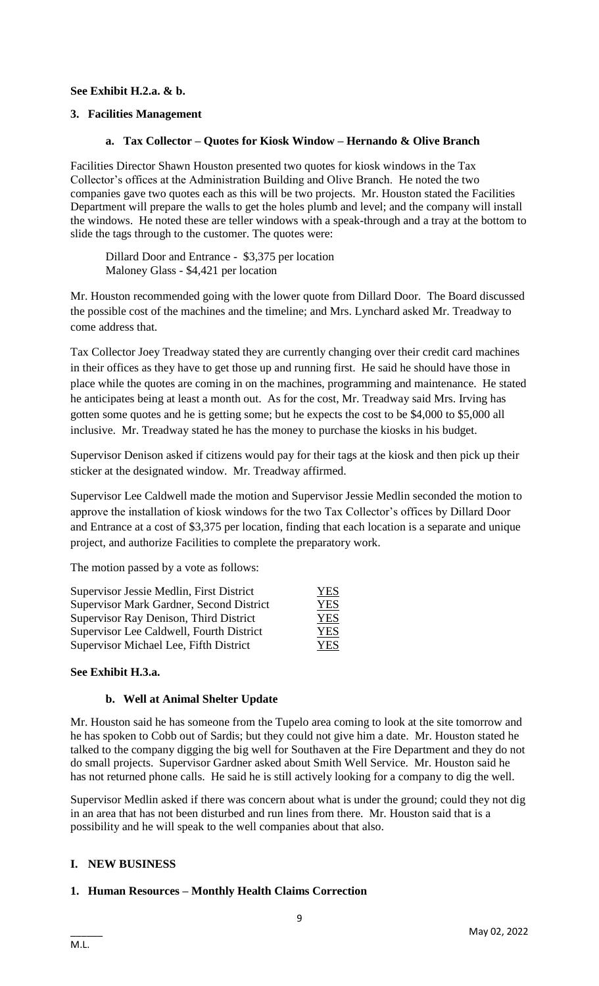# **See Exhibit H.2.a. & b.**

# **3. Facilities Management**

#### **a. Tax Collector – Quotes for Kiosk Window – Hernando & Olive Branch**

Facilities Director Shawn Houston presented two quotes for kiosk windows in the Tax Collector's offices at the Administration Building and Olive Branch. He noted the two companies gave two quotes each as this will be two projects. Mr. Houston stated the Facilities Department will prepare the walls to get the holes plumb and level; and the company will install the windows. He noted these are teller windows with a speak-through and a tray at the bottom to slide the tags through to the customer. The quotes were:

Dillard Door and Entrance - \$3,375 per location Maloney Glass - \$4,421 per location

Mr. Houston recommended going with the lower quote from Dillard Door. The Board discussed the possible cost of the machines and the timeline; and Mrs. Lynchard asked Mr. Treadway to come address that.

Tax Collector Joey Treadway stated they are currently changing over their credit card machines in their offices as they have to get those up and running first. He said he should have those in place while the quotes are coming in on the machines, programming and maintenance. He stated he anticipates being at least a month out. As for the cost, Mr. Treadway said Mrs. Irving has gotten some quotes and he is getting some; but he expects the cost to be \$4,000 to \$5,000 all inclusive. Mr. Treadway stated he has the money to purchase the kiosks in his budget.

Supervisor Denison asked if citizens would pay for their tags at the kiosk and then pick up their sticker at the designated window. Mr. Treadway affirmed.

Supervisor Lee Caldwell made the motion and Supervisor Jessie Medlin seconded the motion to approve the installation of kiosk windows for the two Tax Collector's offices by Dillard Door and Entrance at a cost of \$3,375 per location, finding that each location is a separate and unique project, and authorize Facilities to complete the preparatory work.

The motion passed by a vote as follows:

| Supervisor Jessie Medlin, First District | <b>YES</b> |
|------------------------------------------|------------|
| Supervisor Mark Gardner, Second District | <b>YES</b> |
| Supervisor Ray Denison, Third District   | <b>YES</b> |
| Supervisor Lee Caldwell, Fourth District | <b>YES</b> |
| Supervisor Michael Lee, Fifth District   | <b>YES</b> |

#### **See Exhibit H.3.a.**

#### **b. Well at Animal Shelter Update**

Mr. Houston said he has someone from the Tupelo area coming to look at the site tomorrow and he has spoken to Cobb out of Sardis; but they could not give him a date. Mr. Houston stated he talked to the company digging the big well for Southaven at the Fire Department and they do not do small projects. Supervisor Gardner asked about Smith Well Service. Mr. Houston said he has not returned phone calls. He said he is still actively looking for a company to dig the well.

Supervisor Medlin asked if there was concern about what is under the ground; could they not dig in an area that has not been disturbed and run lines from there. Mr. Houston said that is a possibility and he will speak to the well companies about that also.

# **I. NEW BUSINESS**

# **1. Human Resources – Monthly Health Claims Correction**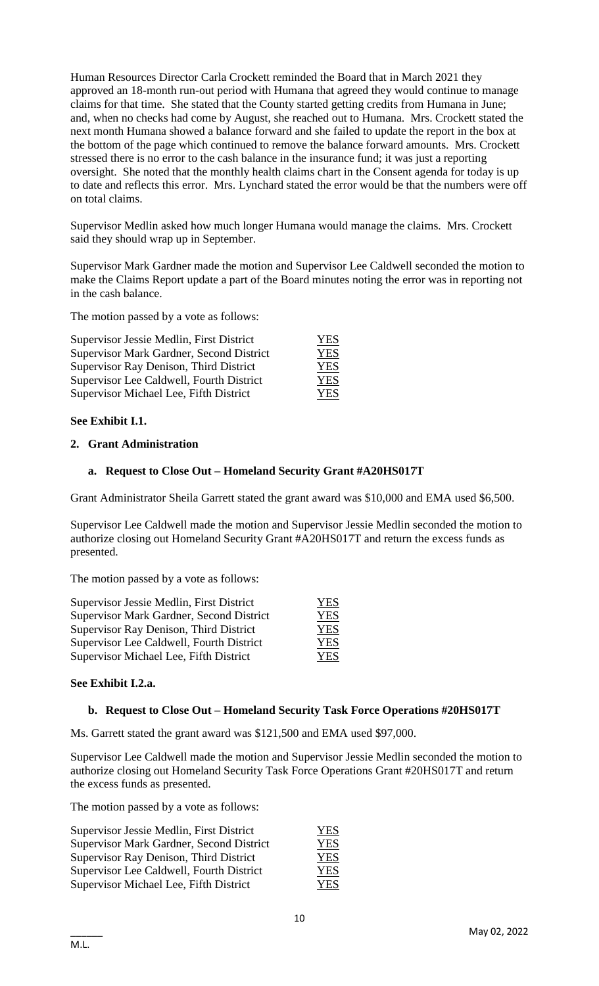Human Resources Director Carla Crockett reminded the Board that in March 2021 they approved an 18-month run-out period with Humana that agreed they would continue to manage claims for that time. She stated that the County started getting credits from Humana in June; and, when no checks had come by August, she reached out to Humana. Mrs. Crockett stated the next month Humana showed a balance forward and she failed to update the report in the box at the bottom of the page which continued to remove the balance forward amounts. Mrs. Crockett stressed there is no error to the cash balance in the insurance fund; it was just a reporting oversight. She noted that the monthly health claims chart in the Consent agenda for today is up to date and reflects this error. Mrs. Lynchard stated the error would be that the numbers were off on total claims.

Supervisor Medlin asked how much longer Humana would manage the claims. Mrs. Crockett said they should wrap up in September.

Supervisor Mark Gardner made the motion and Supervisor Lee Caldwell seconded the motion to make the Claims Report update a part of the Board minutes noting the error was in reporting not in the cash balance.

The motion passed by a vote as follows:

| Supervisor Jessie Medlin, First District        | <b>YES</b> |
|-------------------------------------------------|------------|
| <b>Supervisor Mark Gardner, Second District</b> | <b>YES</b> |
| Supervisor Ray Denison, Third District          | <b>YES</b> |
| Supervisor Lee Caldwell, Fourth District        | <b>YES</b> |
| Supervisor Michael Lee, Fifth District          | YES        |

#### **See Exhibit I.1.**

#### **2. Grant Administration**

#### **a. Request to Close Out – Homeland Security Grant #A20HS017T**

Grant Administrator Sheila Garrett stated the grant award was \$10,000 and EMA used \$6,500.

Supervisor Lee Caldwell made the motion and Supervisor Jessie Medlin seconded the motion to authorize closing out Homeland Security Grant #A20HS017T and return the excess funds as presented.

The motion passed by a vote as follows:

| Supervisor Jessie Medlin, First District | <b>YES</b> |
|------------------------------------------|------------|
| Supervisor Mark Gardner, Second District | <b>YES</b> |
| Supervisor Ray Denison, Third District   | <b>YES</b> |
| Supervisor Lee Caldwell, Fourth District | <b>YES</b> |
| Supervisor Michael Lee, Fifth District   | <b>YES</b> |

#### **See Exhibit I.2.a.**

#### **b. Request to Close Out – Homeland Security Task Force Operations #20HS017T**

Ms. Garrett stated the grant award was \$121,500 and EMA used \$97,000.

Supervisor Lee Caldwell made the motion and Supervisor Jessie Medlin seconded the motion to authorize closing out Homeland Security Task Force Operations Grant #20HS017T and return the excess funds as presented.

The motion passed by a vote as follows:

| Supervisor Jessie Medlin, First District | YES        |
|------------------------------------------|------------|
| Supervisor Mark Gardner, Second District | <b>YES</b> |
| Supervisor Ray Denison, Third District   | YES        |
| Supervisor Lee Caldwell, Fourth District | YES        |
| Supervisor Michael Lee, Fifth District   | YES        |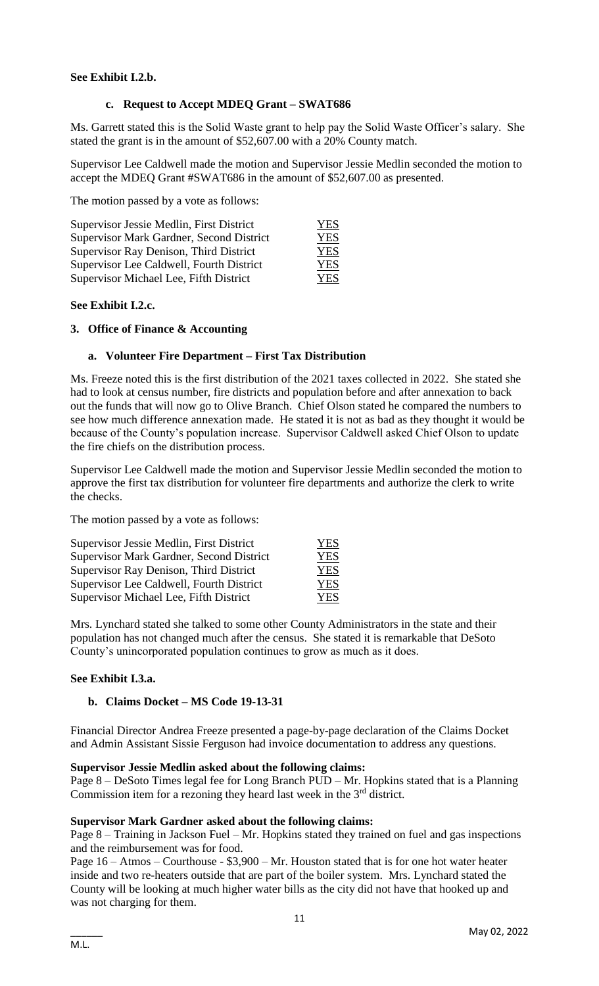### **See Exhibit I.2.b.**

#### **c. Request to Accept MDEQ Grant – SWAT686**

Ms. Garrett stated this is the Solid Waste grant to help pay the Solid Waste Officer's salary. She stated the grant is in the amount of \$52,607.00 with a 20% County match.

Supervisor Lee Caldwell made the motion and Supervisor Jessie Medlin seconded the motion to accept the MDEQ Grant #SWAT686 in the amount of \$52,607.00 as presented.

The motion passed by a vote as follows:

| Supervisor Jessie Medlin, First District | YES |
|------------------------------------------|-----|
| Supervisor Mark Gardner, Second District | YES |
| Supervisor Ray Denison, Third District   | YES |
| Supervisor Lee Caldwell, Fourth District | YES |
| Supervisor Michael Lee, Fifth District   | YES |

#### **See Exhibit I.2.c.**

#### **3. Office of Finance & Accounting**

#### **a. Volunteer Fire Department – First Tax Distribution**

Ms. Freeze noted this is the first distribution of the 2021 taxes collected in 2022. She stated she had to look at census number, fire districts and population before and after annexation to back out the funds that will now go to Olive Branch. Chief Olson stated he compared the numbers to see how much difference annexation made. He stated it is not as bad as they thought it would be because of the County's population increase. Supervisor Caldwell asked Chief Olson to update the fire chiefs on the distribution process.

Supervisor Lee Caldwell made the motion and Supervisor Jessie Medlin seconded the motion to approve the first tax distribution for volunteer fire departments and authorize the clerk to write the checks.

The motion passed by a vote as follows:

| Supervisor Jessie Medlin, First District | YES        |
|------------------------------------------|------------|
| Supervisor Mark Gardner, Second District | YES        |
| Supervisor Ray Denison, Third District   | <b>YES</b> |
| Supervisor Lee Caldwell, Fourth District | <b>YES</b> |
| Supervisor Michael Lee, Fifth District   | YES        |

Mrs. Lynchard stated she talked to some other County Administrators in the state and their population has not changed much after the census. She stated it is remarkable that DeSoto County's unincorporated population continues to grow as much as it does.

#### **See Exhibit I.3.a.**

#### **b. Claims Docket – MS Code 19-13-31**

Financial Director Andrea Freeze presented a page-by-page declaration of the Claims Docket and Admin Assistant Sissie Ferguson had invoice documentation to address any questions.

#### **Supervisor Jessie Medlin asked about the following claims:**

Page 8 – DeSoto Times legal fee for Long Branch PUD – Mr. Hopkins stated that is a Planning Commission item for a rezoning they heard last week in the  $3<sup>rd</sup>$  district.

#### **Supervisor Mark Gardner asked about the following claims:**

Page 8 – Training in Jackson Fuel – Mr. Hopkins stated they trained on fuel and gas inspections and the reimbursement was for food.

Page 16 – Atmos – Courthouse - \$3,900 – Mr. Houston stated that is for one hot water heater inside and two re-heaters outside that are part of the boiler system. Mrs. Lynchard stated the County will be looking at much higher water bills as the city did not have that hooked up and was not charging for them.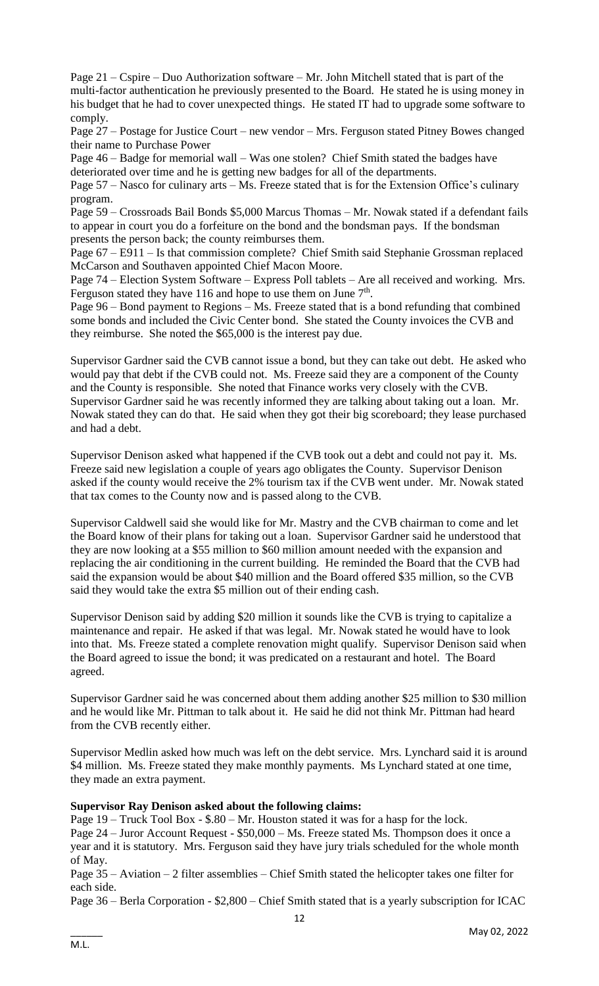Page 21 – Cspire – Duo Authorization software – Mr. John Mitchell stated that is part of the multi-factor authentication he previously presented to the Board. He stated he is using money in his budget that he had to cover unexpected things. He stated IT had to upgrade some software to comply.

Page 27 – Postage for Justice Court – new vendor – Mrs. Ferguson stated Pitney Bowes changed their name to Purchase Power

Page 46 – Badge for memorial wall – Was one stolen? Chief Smith stated the badges have deteriorated over time and he is getting new badges for all of the departments.

Page 57 – Nasco for culinary arts – Ms. Freeze stated that is for the Extension Office's culinary program.

Page 59 – Crossroads Bail Bonds \$5,000 Marcus Thomas – Mr. Nowak stated if a defendant fails to appear in court you do a forfeiture on the bond and the bondsman pays. If the bondsman presents the person back; the county reimburses them.

Page 67 – E911 – Is that commission complete? Chief Smith said Stephanie Grossman replaced McCarson and Southaven appointed Chief Macon Moore.

Page 74 – Election System Software – Express Poll tablets – Are all received and working. Mrs. Ferguson stated they have 116 and hope to use them on June  $7<sup>th</sup>$ .

Page 96 – Bond payment to Regions – Ms. Freeze stated that is a bond refunding that combined some bonds and included the Civic Center bond. She stated the County invoices the CVB and they reimburse. She noted the \$65,000 is the interest pay due.

Supervisor Gardner said the CVB cannot issue a bond, but they can take out debt. He asked who would pay that debt if the CVB could not. Ms. Freeze said they are a component of the County and the County is responsible. She noted that Finance works very closely with the CVB. Supervisor Gardner said he was recently informed they are talking about taking out a loan. Mr. Nowak stated they can do that. He said when they got their big scoreboard; they lease purchased and had a debt.

Supervisor Denison asked what happened if the CVB took out a debt and could not pay it. Ms. Freeze said new legislation a couple of years ago obligates the County. Supervisor Denison asked if the county would receive the 2% tourism tax if the CVB went under. Mr. Nowak stated that tax comes to the County now and is passed along to the CVB.

Supervisor Caldwell said she would like for Mr. Mastry and the CVB chairman to come and let the Board know of their plans for taking out a loan. Supervisor Gardner said he understood that they are now looking at a \$55 million to \$60 million amount needed with the expansion and replacing the air conditioning in the current building. He reminded the Board that the CVB had said the expansion would be about \$40 million and the Board offered \$35 million, so the CVB said they would take the extra \$5 million out of their ending cash.

Supervisor Denison said by adding \$20 million it sounds like the CVB is trying to capitalize a maintenance and repair. He asked if that was legal. Mr. Nowak stated he would have to look into that. Ms. Freeze stated a complete renovation might qualify. Supervisor Denison said when the Board agreed to issue the bond; it was predicated on a restaurant and hotel. The Board agreed.

Supervisor Gardner said he was concerned about them adding another \$25 million to \$30 million and he would like Mr. Pittman to talk about it. He said he did not think Mr. Pittman had heard from the CVB recently either.

Supervisor Medlin asked how much was left on the debt service. Mrs. Lynchard said it is around \$4 million. Ms. Freeze stated they make monthly payments. Ms Lynchard stated at one time, they made an extra payment.

#### **Supervisor Ray Denison asked about the following claims:**

Page 19 – Truck Tool Box - \$.80 – Mr. Houston stated it was for a hasp for the lock. Page 24 – Juror Account Request - \$50,000 – Ms. Freeze stated Ms. Thompson does it once a year and it is statutory. Mrs. Ferguson said they have jury trials scheduled for the whole month of May.

Page 35 – Aviation – 2 filter assemblies – Chief Smith stated the helicopter takes one filter for each side.

Page 36 – Berla Corporation - \$2,800 – Chief Smith stated that is a yearly subscription for ICAC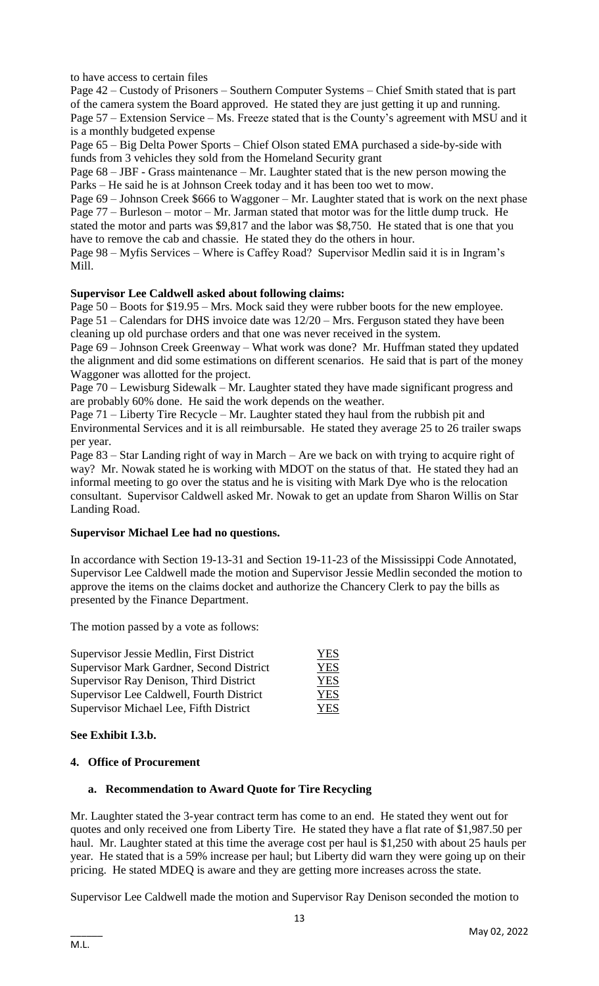to have access to certain files

Page 42 – Custody of Prisoners – Southern Computer Systems – Chief Smith stated that is part of the camera system the Board approved. He stated they are just getting it up and running. Page 57 – Extension Service – Ms. Freeze stated that is the County's agreement with MSU and it is a monthly budgeted expense

Page 65 – Big Delta Power Sports – Chief Olson stated EMA purchased a side-by-side with funds from 3 vehicles they sold from the Homeland Security grant

Page 68 – JBF - Grass maintenance – Mr. Laughter stated that is the new person mowing the Parks – He said he is at Johnson Creek today and it has been too wet to mow.

Page 69 – Johnson Creek \$666 to Waggoner – Mr. Laughter stated that is work on the next phase Page 77 – Burleson – motor – Mr. Jarman stated that motor was for the little dump truck. He stated the motor and parts was \$9,817 and the labor was \$8,750. He stated that is one that you have to remove the cab and chassie. He stated they do the others in hour.

Page 98 – Myfis Services – Where is Caffey Road? Supervisor Medlin said it is in Ingram's Mill.

#### **Supervisor Lee Caldwell asked about following claims:**

Page 50 – Boots for \$19.95 – Mrs. Mock said they were rubber boots for the new employee. Page 51 – Calendars for DHS invoice date was 12/20 – Mrs. Ferguson stated they have been cleaning up old purchase orders and that one was never received in the system.

Page 69 – Johnson Creek Greenway – What work was done? Mr. Huffman stated they updated the alignment and did some estimations on different scenarios. He said that is part of the money Waggoner was allotted for the project.

Page 70 – Lewisburg Sidewalk – Mr. Laughter stated they have made significant progress and are probably 60% done. He said the work depends on the weather.

Page 71 – Liberty Tire Recycle – Mr. Laughter stated they haul from the rubbish pit and Environmental Services and it is all reimbursable. He stated they average 25 to 26 trailer swaps per year.

Page 83 – Star Landing right of way in March – Are we back on with trying to acquire right of way? Mr. Nowak stated he is working with MDOT on the status of that. He stated they had an informal meeting to go over the status and he is visiting with Mark Dye who is the relocation consultant. Supervisor Caldwell asked Mr. Nowak to get an update from Sharon Willis on Star Landing Road.

#### **Supervisor Michael Lee had no questions.**

In accordance with Section 19-13-31 and Section 19-11-23 of the Mississippi Code Annotated, Supervisor Lee Caldwell made the motion and Supervisor Jessie Medlin seconded the motion to approve the items on the claims docket and authorize the Chancery Clerk to pay the bills as presented by the Finance Department.

The motion passed by a vote as follows:

| Supervisor Jessie Medlin, First District | <b>YES</b> |
|------------------------------------------|------------|
| Supervisor Mark Gardner, Second District | YES        |
| Supervisor Ray Denison, Third District   | <b>YES</b> |
| Supervisor Lee Caldwell, Fourth District | <b>YES</b> |
| Supervisor Michael Lee, Fifth District   | <b>YES</b> |

# **See Exhibit I.3.b.**

# **4. Office of Procurement**

# **a. Recommendation to Award Quote for Tire Recycling**

Mr. Laughter stated the 3-year contract term has come to an end. He stated they went out for quotes and only received one from Liberty Tire. He stated they have a flat rate of \$1,987.50 per haul. Mr. Laughter stated at this time the average cost per haul is \$1,250 with about 25 hauls per year. He stated that is a 59% increase per haul; but Liberty did warn they were going up on their pricing. He stated MDEQ is aware and they are getting more increases across the state.

Supervisor Lee Caldwell made the motion and Supervisor Ray Denison seconded the motion to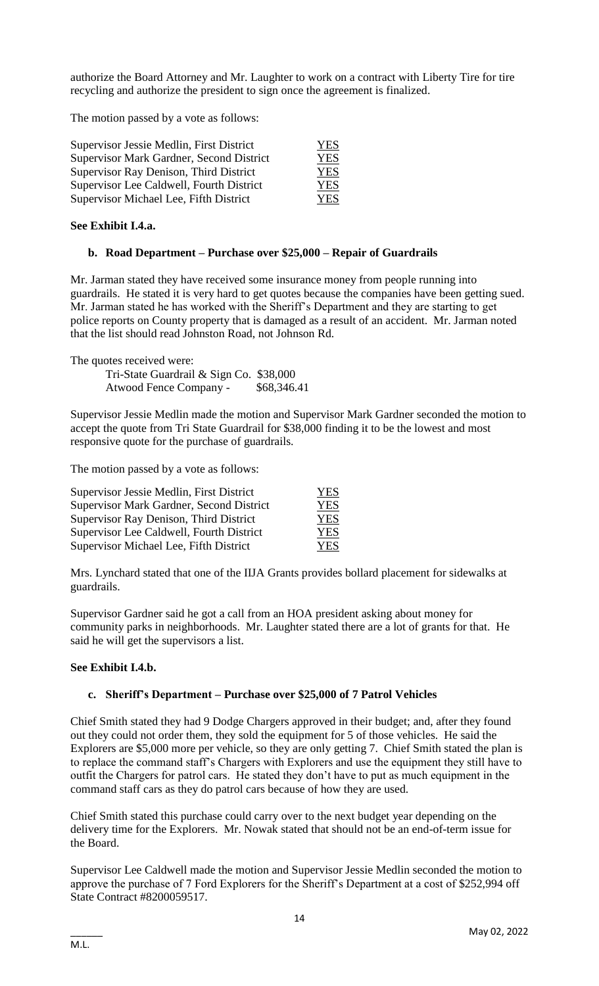authorize the Board Attorney and Mr. Laughter to work on a contract with Liberty Tire for tire recycling and authorize the president to sign once the agreement is finalized.

The motion passed by a vote as follows:

| Supervisor Jessie Medlin, First District | <b>YES</b> |
|------------------------------------------|------------|
| Supervisor Mark Gardner, Second District | <b>YES</b> |
| Supervisor Ray Denison, Third District   | <b>YES</b> |
| Supervisor Lee Caldwell, Fourth District | <b>YES</b> |
| Supervisor Michael Lee, Fifth District   | YES        |

#### **See Exhibit I.4.a.**

#### **b. Road Department – Purchase over \$25,000 – Repair of Guardrails**

Mr. Jarman stated they have received some insurance money from people running into guardrails. He stated it is very hard to get quotes because the companies have been getting sued. Mr. Jarman stated he has worked with the Sheriff's Department and they are starting to get police reports on County property that is damaged as a result of an accident. Mr. Jarman noted that the list should read Johnston Road, not Johnson Rd.

The quotes received were:

Tri-State Guardrail & Sign Co. \$38,000 Atwood Fence Company - \$68,346.41

Supervisor Jessie Medlin made the motion and Supervisor Mark Gardner seconded the motion to accept the quote from Tri State Guardrail for \$38,000 finding it to be the lowest and most responsive quote for the purchase of guardrails.

The motion passed by a vote as follows:

| Supervisor Jessie Medlin, First District | <b>YES</b> |
|------------------------------------------|------------|
| Supervisor Mark Gardner, Second District | <b>YES</b> |
| Supervisor Ray Denison, Third District   | <b>YES</b> |
| Supervisor Lee Caldwell, Fourth District | <b>YES</b> |
| Supervisor Michael Lee, Fifth District   | YES.       |

Mrs. Lynchard stated that one of the IIJA Grants provides bollard placement for sidewalks at guardrails.

Supervisor Gardner said he got a call from an HOA president asking about money for community parks in neighborhoods. Mr. Laughter stated there are a lot of grants for that. He said he will get the supervisors a list.

#### **See Exhibit I.4.b.**

# **c. Sheriff's Department – Purchase over \$25,000 of 7 Patrol Vehicles**

Chief Smith stated they had 9 Dodge Chargers approved in their budget; and, after they found out they could not order them, they sold the equipment for 5 of those vehicles. He said the Explorers are \$5,000 more per vehicle, so they are only getting 7. Chief Smith stated the plan is to replace the command staff's Chargers with Explorers and use the equipment they still have to outfit the Chargers for patrol cars. He stated they don't have to put as much equipment in the command staff cars as they do patrol cars because of how they are used.

Chief Smith stated this purchase could carry over to the next budget year depending on the delivery time for the Explorers. Mr. Nowak stated that should not be an end-of-term issue for the Board.

Supervisor Lee Caldwell made the motion and Supervisor Jessie Medlin seconded the motion to approve the purchase of 7 Ford Explorers for the Sheriff's Department at a cost of \$252,994 off State Contract #8200059517.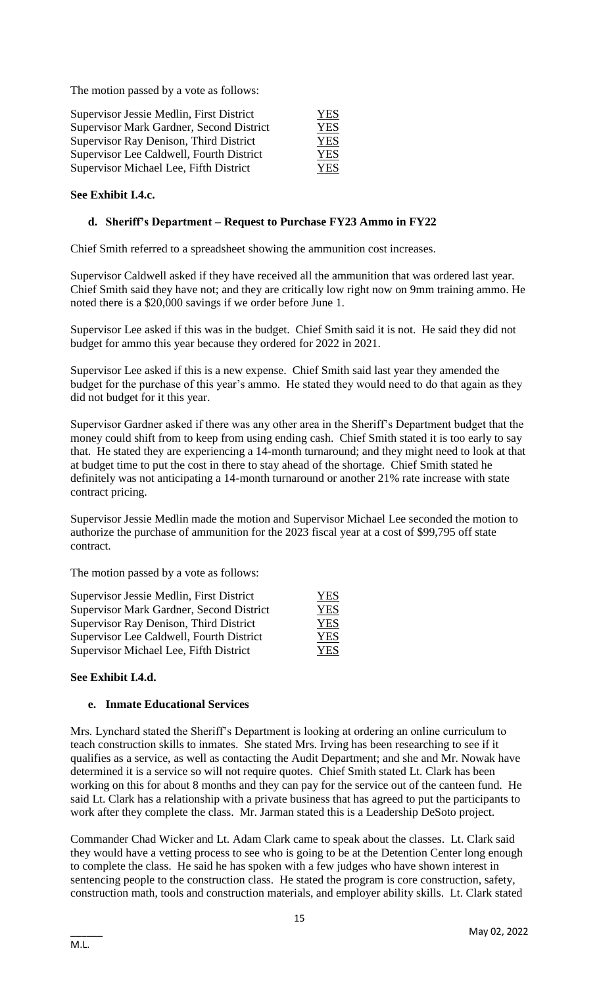The motion passed by a vote as follows:

| Supervisor Jessie Medlin, First District | <b>YES</b> |
|------------------------------------------|------------|
| Supervisor Mark Gardner, Second District | <b>YES</b> |
| Supervisor Ray Denison, Third District   | <b>YES</b> |
| Supervisor Lee Caldwell, Fourth District | <b>YES</b> |
| Supervisor Michael Lee, Fifth District   | <b>YES</b> |

### **See Exhibit I.4.c.**

#### **d. Sheriff's Department – Request to Purchase FY23 Ammo in FY22**

Chief Smith referred to a spreadsheet showing the ammunition cost increases.

Supervisor Caldwell asked if they have received all the ammunition that was ordered last year. Chief Smith said they have not; and they are critically low right now on 9mm training ammo. He noted there is a \$20,000 savings if we order before June 1.

Supervisor Lee asked if this was in the budget. Chief Smith said it is not. He said they did not budget for ammo this year because they ordered for 2022 in 2021.

Supervisor Lee asked if this is a new expense. Chief Smith said last year they amended the budget for the purchase of this year's ammo. He stated they would need to do that again as they did not budget for it this year.

Supervisor Gardner asked if there was any other area in the Sheriff's Department budget that the money could shift from to keep from using ending cash. Chief Smith stated it is too early to say that. He stated they are experiencing a 14-month turnaround; and they might need to look at that at budget time to put the cost in there to stay ahead of the shortage. Chief Smith stated he definitely was not anticipating a 14-month turnaround or another 21% rate increase with state contract pricing.

Supervisor Jessie Medlin made the motion and Supervisor Michael Lee seconded the motion to authorize the purchase of ammunition for the 2023 fiscal year at a cost of \$99,795 off state contract.

The motion passed by a vote as follows:

| Supervisor Jessie Medlin, First District | YES        |
|------------------------------------------|------------|
| Supervisor Mark Gardner, Second District | <b>YES</b> |
| Supervisor Ray Denison, Third District   | <b>YES</b> |
| Supervisor Lee Caldwell, Fourth District | <b>YES</b> |
| Supervisor Michael Lee, Fifth District   | YES        |

#### **See Exhibit I.4.d.**

#### **e. Inmate Educational Services**

Mrs. Lynchard stated the Sheriff's Department is looking at ordering an online curriculum to teach construction skills to inmates. She stated Mrs. Irving has been researching to see if it qualifies as a service, as well as contacting the Audit Department; and she and Mr. Nowak have determined it is a service so will not require quotes. Chief Smith stated Lt. Clark has been working on this for about 8 months and they can pay for the service out of the canteen fund. He said Lt. Clark has a relationship with a private business that has agreed to put the participants to work after they complete the class. Mr. Jarman stated this is a Leadership DeSoto project.

Commander Chad Wicker and Lt. Adam Clark came to speak about the classes. Lt. Clark said they would have a vetting process to see who is going to be at the Detention Center long enough to complete the class. He said he has spoken with a few judges who have shown interest in sentencing people to the construction class. He stated the program is core construction, safety, construction math, tools and construction materials, and employer ability skills. Lt. Clark stated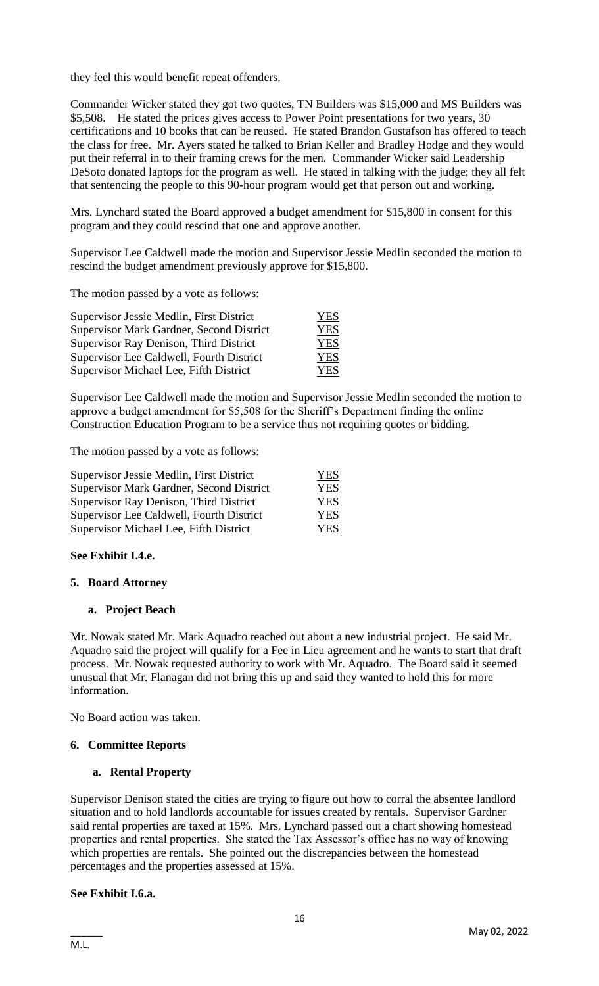they feel this would benefit repeat offenders.

Commander Wicker stated they got two quotes, TN Builders was \$15,000 and MS Builders was \$5,508. He stated the prices gives access to Power Point presentations for two years, 30 certifications and 10 books that can be reused. He stated Brandon Gustafson has offered to teach the class for free. Mr. Ayers stated he talked to Brian Keller and Bradley Hodge and they would put their referral in to their framing crews for the men. Commander Wicker said Leadership DeSoto donated laptops for the program as well. He stated in talking with the judge; they all felt that sentencing the people to this 90-hour program would get that person out and working.

Mrs. Lynchard stated the Board approved a budget amendment for \$15,800 in consent for this program and they could rescind that one and approve another.

Supervisor Lee Caldwell made the motion and Supervisor Jessie Medlin seconded the motion to rescind the budget amendment previously approve for \$15,800.

The motion passed by a vote as follows:

| Supervisor Jessie Medlin, First District | YES        |
|------------------------------------------|------------|
| Supervisor Mark Gardner, Second District | <b>YES</b> |
| Supervisor Ray Denison, Third District   | <b>YES</b> |
| Supervisor Lee Caldwell, Fourth District | <b>YES</b> |
| Supervisor Michael Lee, Fifth District   | <b>YES</b> |

Supervisor Lee Caldwell made the motion and Supervisor Jessie Medlin seconded the motion to approve a budget amendment for \$5,508 for the Sheriff's Department finding the online Construction Education Program to be a service thus not requiring quotes or bidding.

The motion passed by a vote as follows:

| Supervisor Jessie Medlin, First District | <b>YES</b> |
|------------------------------------------|------------|
| Supervisor Mark Gardner, Second District | <b>YES</b> |
| Supervisor Ray Denison, Third District   | <b>YES</b> |
| Supervisor Lee Caldwell, Fourth District | <b>YES</b> |
| Supervisor Michael Lee, Fifth District   | YES.       |

#### **See Exhibit I.4.e.**

#### **5. Board Attorney**

#### **a. Project Beach**

Mr. Nowak stated Mr. Mark Aquadro reached out about a new industrial project. He said Mr. Aquadro said the project will qualify for a Fee in Lieu agreement and he wants to start that draft process. Mr. Nowak requested authority to work with Mr. Aquadro. The Board said it seemed unusual that Mr. Flanagan did not bring this up and said they wanted to hold this for more information.

No Board action was taken.

# **6. Committee Reports**

#### **a. Rental Property**

Supervisor Denison stated the cities are trying to figure out how to corral the absentee landlord situation and to hold landlords accountable for issues created by rentals. Supervisor Gardner said rental properties are taxed at 15%. Mrs. Lynchard passed out a chart showing homestead properties and rental properties. She stated the Tax Assessor's office has no way of knowing which properties are rentals. She pointed out the discrepancies between the homestead percentages and the properties assessed at 15%.

#### **See Exhibit I.6.a.**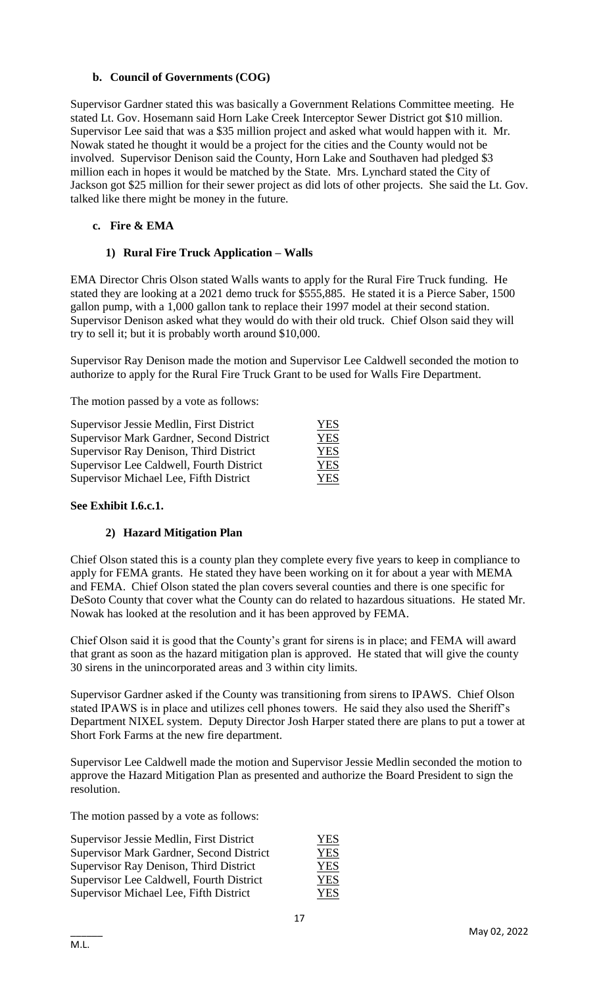# **b. Council of Governments (COG)**

Supervisor Gardner stated this was basically a Government Relations Committee meeting. He stated Lt. Gov. Hosemann said Horn Lake Creek Interceptor Sewer District got \$10 million. Supervisor Lee said that was a \$35 million project and asked what would happen with it. Mr. Nowak stated he thought it would be a project for the cities and the County would not be involved. Supervisor Denison said the County, Horn Lake and Southaven had pledged \$3 million each in hopes it would be matched by the State. Mrs. Lynchard stated the City of Jackson got \$25 million for their sewer project as did lots of other projects. She said the Lt. Gov. talked like there might be money in the future.

#### **c. Fire & EMA**

#### **1) Rural Fire Truck Application – Walls**

EMA Director Chris Olson stated Walls wants to apply for the Rural Fire Truck funding. He stated they are looking at a 2021 demo truck for \$555,885. He stated it is a Pierce Saber, 1500 gallon pump, with a 1,000 gallon tank to replace their 1997 model at their second station. Supervisor Denison asked what they would do with their old truck. Chief Olson said they will try to sell it; but it is probably worth around \$10,000.

Supervisor Ray Denison made the motion and Supervisor Lee Caldwell seconded the motion to authorize to apply for the Rural Fire Truck Grant to be used for Walls Fire Department.

The motion passed by a vote as follows:

| Supervisor Jessie Medlin, First District | <b>YES</b> |
|------------------------------------------|------------|
| Supervisor Mark Gardner, Second District | <b>YES</b> |
| Supervisor Ray Denison, Third District   | <b>YES</b> |
| Supervisor Lee Caldwell, Fourth District | <b>YES</b> |
| Supervisor Michael Lee, Fifth District   | <b>YES</b> |

#### **See Exhibit I.6.c.1.**

#### **2) Hazard Mitigation Plan**

Chief Olson stated this is a county plan they complete every five years to keep in compliance to apply for FEMA grants. He stated they have been working on it for about a year with MEMA and FEMA. Chief Olson stated the plan covers several counties and there is one specific for DeSoto County that cover what the County can do related to hazardous situations. He stated Mr. Nowak has looked at the resolution and it has been approved by FEMA.

Chief Olson said it is good that the County's grant for sirens is in place; and FEMA will award that grant as soon as the hazard mitigation plan is approved. He stated that will give the county 30 sirens in the unincorporated areas and 3 within city limits.

Supervisor Gardner asked if the County was transitioning from sirens to IPAWS. Chief Olson stated IPAWS is in place and utilizes cell phones towers. He said they also used the Sheriff's Department NIXEL system. Deputy Director Josh Harper stated there are plans to put a tower at Short Fork Farms at the new fire department.

Supervisor Lee Caldwell made the motion and Supervisor Jessie Medlin seconded the motion to approve the Hazard Mitigation Plan as presented and authorize the Board President to sign the resolution.

The motion passed by a vote as follows:

| Supervisor Jessie Medlin, First District | <b>YES</b> |
|------------------------------------------|------------|
| Supervisor Mark Gardner, Second District | <b>YES</b> |
| Supervisor Ray Denison, Third District   | <b>YES</b> |
| Supervisor Lee Caldwell, Fourth District | <b>YES</b> |
| Supervisor Michael Lee, Fifth District   | <b>YES</b> |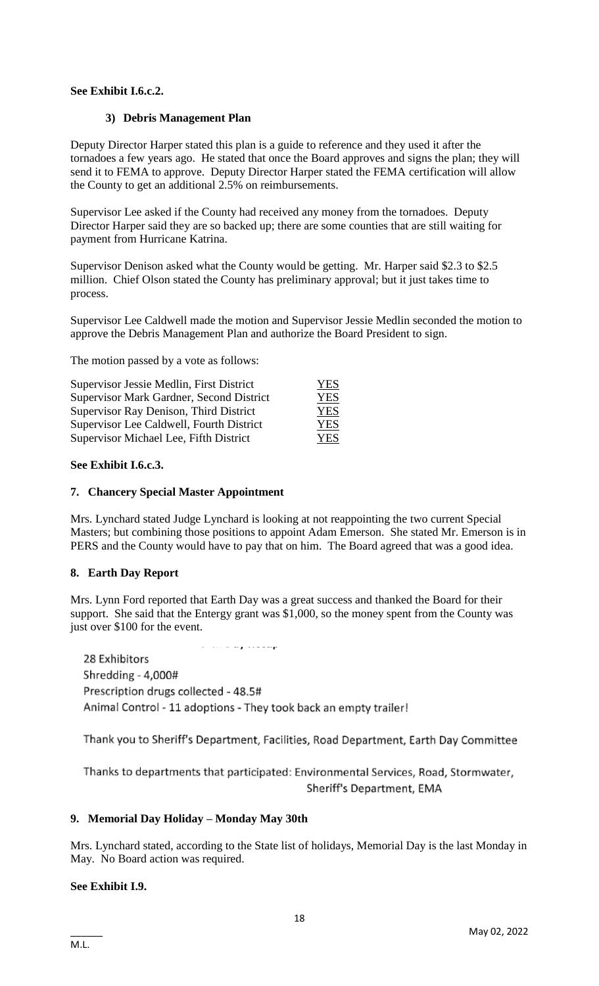# **See Exhibit I.6.c.2.**

#### **3) Debris Management Plan**

Deputy Director Harper stated this plan is a guide to reference and they used it after the tornadoes a few years ago. He stated that once the Board approves and signs the plan; they will send it to FEMA to approve. Deputy Director Harper stated the FEMA certification will allow the County to get an additional 2.5% on reimbursements.

Supervisor Lee asked if the County had received any money from the tornadoes. Deputy Director Harper said they are so backed up; there are some counties that are still waiting for payment from Hurricane Katrina.

Supervisor Denison asked what the County would be getting. Mr. Harper said \$2.3 to \$2.5 million. Chief Olson stated the County has preliminary approval; but it just takes time to process.

Supervisor Lee Caldwell made the motion and Supervisor Jessie Medlin seconded the motion to approve the Debris Management Plan and authorize the Board President to sign.

The motion passed by a vote as follows:

| Supervisor Jessie Medlin, First District | YES |
|------------------------------------------|-----|
| Supervisor Mark Gardner, Second District | YES |
| Supervisor Ray Denison, Third District   | YES |
| Supervisor Lee Caldwell, Fourth District | YES |
| Supervisor Michael Lee, Fifth District   | YES |

#### **See Exhibit I.6.c.3.**

#### **7. Chancery Special Master Appointment**

Mrs. Lynchard stated Judge Lynchard is looking at not reappointing the two current Special Masters; but combining those positions to appoint Adam Emerson. She stated Mr. Emerson is in PERS and the County would have to pay that on him. The Board agreed that was a good idea.

# **8. Earth Day Report**

Mrs. Lynn Ford reported that Earth Day was a great success and thanked the Board for their support. She said that the Entergy grant was \$1,000, so the money spent from the County was just over \$100 for the event.

28 Exhibitors Shredding - 4,000# Prescription drugs collected - 48.5# Animal Control - 11 adoptions - They took back an empty trailer!

Thank you to Sheriff's Department, Facilities, Road Department, Earth Day Committee

Thanks to departments that participated: Environmental Services, Road, Stormwater, Sheriff's Department, EMA

#### **9. Memorial Day Holiday – Monday May 30th**

Mrs. Lynchard stated, according to the State list of holidays, Memorial Day is the last Monday in May. No Board action was required.

# **See Exhibit I.9.**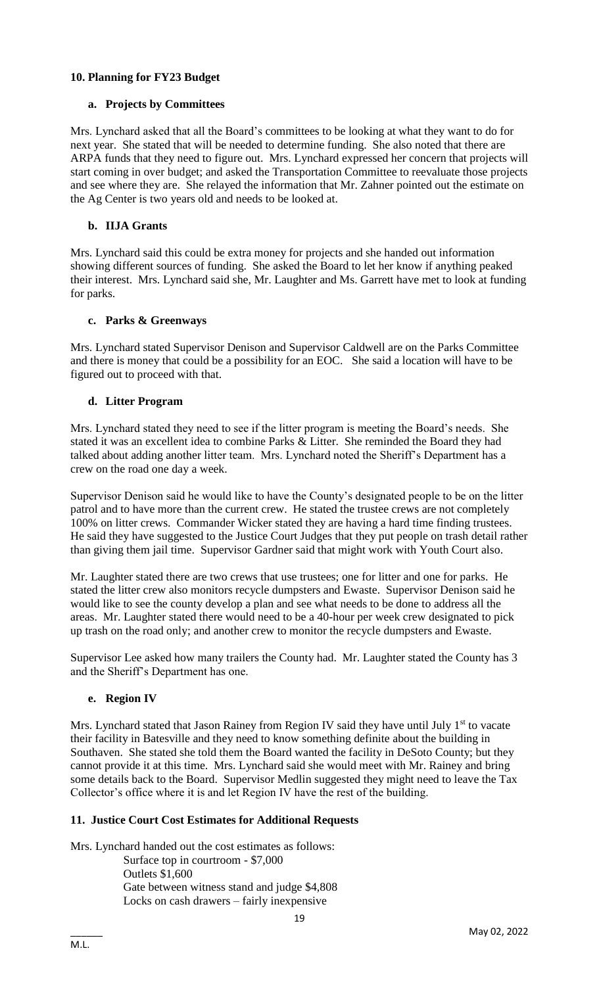# **10. Planning for FY23 Budget**

#### **a. Projects by Committees**

Mrs. Lynchard asked that all the Board's committees to be looking at what they want to do for next year. She stated that will be needed to determine funding. She also noted that there are ARPA funds that they need to figure out. Mrs. Lynchard expressed her concern that projects will start coming in over budget; and asked the Transportation Committee to reevaluate those projects and see where they are. She relayed the information that Mr. Zahner pointed out the estimate on the Ag Center is two years old and needs to be looked at.

#### **b. IIJA Grants**

Mrs. Lynchard said this could be extra money for projects and she handed out information showing different sources of funding. She asked the Board to let her know if anything peaked their interest. Mrs. Lynchard said she, Mr. Laughter and Ms. Garrett have met to look at funding for parks.

#### **c. Parks & Greenways**

Mrs. Lynchard stated Supervisor Denison and Supervisor Caldwell are on the Parks Committee and there is money that could be a possibility for an EOC. She said a location will have to be figured out to proceed with that.

#### **d. Litter Program**

Mrs. Lynchard stated they need to see if the litter program is meeting the Board's needs. She stated it was an excellent idea to combine Parks & Litter. She reminded the Board they had talked about adding another litter team. Mrs. Lynchard noted the Sheriff's Department has a crew on the road one day a week.

Supervisor Denison said he would like to have the County's designated people to be on the litter patrol and to have more than the current crew. He stated the trustee crews are not completely 100% on litter crews. Commander Wicker stated they are having a hard time finding trustees. He said they have suggested to the Justice Court Judges that they put people on trash detail rather than giving them jail time. Supervisor Gardner said that might work with Youth Court also.

Mr. Laughter stated there are two crews that use trustees; one for litter and one for parks. He stated the litter crew also monitors recycle dumpsters and Ewaste. Supervisor Denison said he would like to see the county develop a plan and see what needs to be done to address all the areas. Mr. Laughter stated there would need to be a 40-hour per week crew designated to pick up trash on the road only; and another crew to monitor the recycle dumpsters and Ewaste.

Supervisor Lee asked how many trailers the County had. Mr. Laughter stated the County has 3 and the Sheriff's Department has one.

#### **e. Region IV**

Mrs. Lynchard stated that Jason Rainey from Region IV said they have until July  $1<sup>st</sup>$  to vacate their facility in Batesville and they need to know something definite about the building in Southaven. She stated she told them the Board wanted the facility in DeSoto County; but they cannot provide it at this time. Mrs. Lynchard said she would meet with Mr. Rainey and bring some details back to the Board. Supervisor Medlin suggested they might need to leave the Tax Collector's office where it is and let Region IV have the rest of the building.

# **11. Justice Court Cost Estimates for Additional Requests**

Mrs. Lynchard handed out the cost estimates as follows: Surface top in courtroom - \$7,000 Outlets \$1,600 Gate between witness stand and judge \$4,808 Locks on cash drawers – fairly inexpensive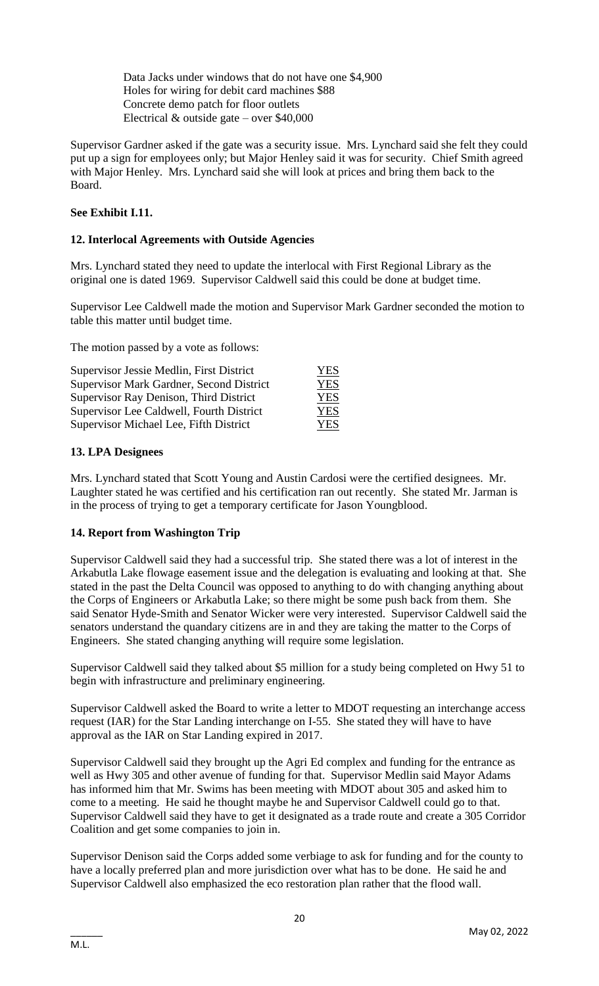Data Jacks under windows that do not have one \$4,900 Holes for wiring for debit card machines \$88 Concrete demo patch for floor outlets Electrical  $&$  outside gate – over \$40,000

Supervisor Gardner asked if the gate was a security issue. Mrs. Lynchard said she felt they could put up a sign for employees only; but Major Henley said it was for security. Chief Smith agreed with Major Henley. Mrs. Lynchard said she will look at prices and bring them back to the Board.

# **See Exhibit I.11.**

# **12. Interlocal Agreements with Outside Agencies**

Mrs. Lynchard stated they need to update the interlocal with First Regional Library as the original one is dated 1969. Supervisor Caldwell said this could be done at budget time.

Supervisor Lee Caldwell made the motion and Supervisor Mark Gardner seconded the motion to table this matter until budget time.

The motion passed by a vote as follows:

| Supervisor Jessie Medlin, First District        | <b>YES</b> |
|-------------------------------------------------|------------|
| <b>Supervisor Mark Gardner, Second District</b> | <b>YES</b> |
| Supervisor Ray Denison, Third District          | <b>YES</b> |
| Supervisor Lee Caldwell, Fourth District        | <b>YES</b> |
| Supervisor Michael Lee, Fifth District          | YES        |

# **13. LPA Designees**

Mrs. Lynchard stated that Scott Young and Austin Cardosi were the certified designees. Mr. Laughter stated he was certified and his certification ran out recently. She stated Mr. Jarman is in the process of trying to get a temporary certificate for Jason Youngblood.

# **14. Report from Washington Trip**

Supervisor Caldwell said they had a successful trip. She stated there was a lot of interest in the Arkabutla Lake flowage easement issue and the delegation is evaluating and looking at that. She stated in the past the Delta Council was opposed to anything to do with changing anything about the Corps of Engineers or Arkabutla Lake; so there might be some push back from them. She said Senator Hyde-Smith and Senator Wicker were very interested. Supervisor Caldwell said the senators understand the quandary citizens are in and they are taking the matter to the Corps of Engineers. She stated changing anything will require some legislation.

Supervisor Caldwell said they talked about \$5 million for a study being completed on Hwy 51 to begin with infrastructure and preliminary engineering.

Supervisor Caldwell asked the Board to write a letter to MDOT requesting an interchange access request (IAR) for the Star Landing interchange on I-55. She stated they will have to have approval as the IAR on Star Landing expired in 2017.

Supervisor Caldwell said they brought up the Agri Ed complex and funding for the entrance as well as Hwy 305 and other avenue of funding for that. Supervisor Medlin said Mayor Adams has informed him that Mr. Swims has been meeting with MDOT about 305 and asked him to come to a meeting. He said he thought maybe he and Supervisor Caldwell could go to that. Supervisor Caldwell said they have to get it designated as a trade route and create a 305 Corridor Coalition and get some companies to join in.

Supervisor Denison said the Corps added some verbiage to ask for funding and for the county to have a locally preferred plan and more jurisdiction over what has to be done. He said he and Supervisor Caldwell also emphasized the eco restoration plan rather that the flood wall.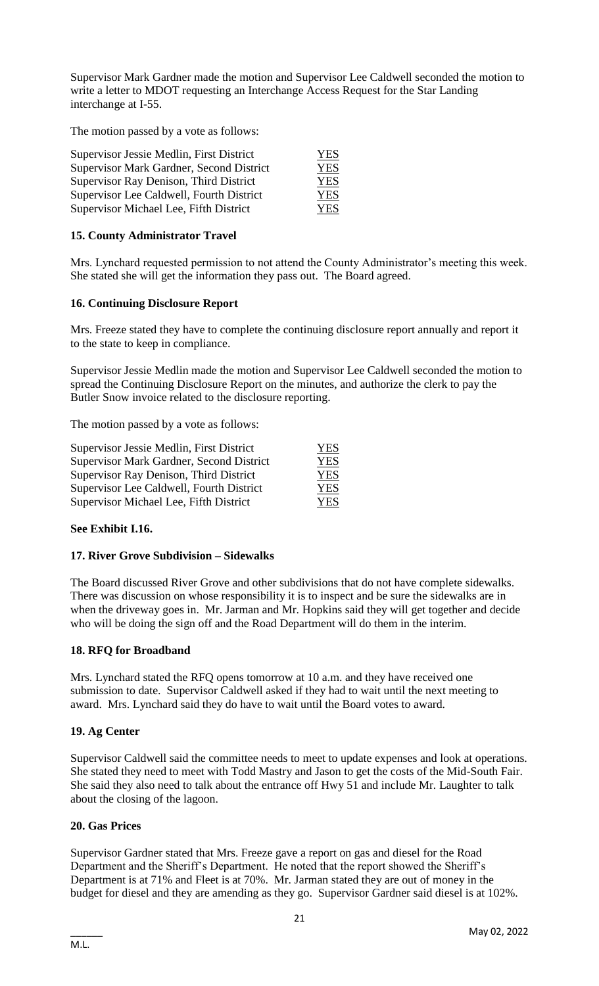Supervisor Mark Gardner made the motion and Supervisor Lee Caldwell seconded the motion to write a letter to MDOT requesting an Interchange Access Request for the Star Landing interchange at I-55.

The motion passed by a vote as follows:

| Supervisor Jessie Medlin, First District | <b>YES</b> |
|------------------------------------------|------------|
| Supervisor Mark Gardner, Second District | <b>YES</b> |
| Supervisor Ray Denison, Third District   | <b>YES</b> |
| Supervisor Lee Caldwell, Fourth District | <b>YES</b> |
| Supervisor Michael Lee, Fifth District   | <b>YES</b> |

# **15. County Administrator Travel**

Mrs. Lynchard requested permission to not attend the County Administrator's meeting this week. She stated she will get the information they pass out. The Board agreed.

# **16. Continuing Disclosure Report**

Mrs. Freeze stated they have to complete the continuing disclosure report annually and report it to the state to keep in compliance.

Supervisor Jessie Medlin made the motion and Supervisor Lee Caldwell seconded the motion to spread the Continuing Disclosure Report on the minutes, and authorize the clerk to pay the Butler Snow invoice related to the disclosure reporting.

The motion passed by a vote as follows:

| Supervisor Jessie Medlin, First District        | <b>YES</b> |
|-------------------------------------------------|------------|
| <b>Supervisor Mark Gardner, Second District</b> | <b>YES</b> |
| Supervisor Ray Denison, Third District          | <b>YES</b> |
| Supervisor Lee Caldwell, Fourth District        | <b>YES</b> |
| Supervisor Michael Lee, Fifth District          | <b>YES</b> |

# **See Exhibit I.16.**

# **17. River Grove Subdivision – Sidewalks**

The Board discussed River Grove and other subdivisions that do not have complete sidewalks. There was discussion on whose responsibility it is to inspect and be sure the sidewalks are in when the driveway goes in. Mr. Jarman and Mr. Hopkins said they will get together and decide who will be doing the sign off and the Road Department will do them in the interim.

# **18. RFQ for Broadband**

Mrs. Lynchard stated the RFQ opens tomorrow at 10 a.m. and they have received one submission to date. Supervisor Caldwell asked if they had to wait until the next meeting to award. Mrs. Lynchard said they do have to wait until the Board votes to award.

# **19. Ag Center**

Supervisor Caldwell said the committee needs to meet to update expenses and look at operations. She stated they need to meet with Todd Mastry and Jason to get the costs of the Mid-South Fair. She said they also need to talk about the entrance off Hwy 51 and include Mr. Laughter to talk about the closing of the lagoon.

#### **20. Gas Prices**

Supervisor Gardner stated that Mrs. Freeze gave a report on gas and diesel for the Road Department and the Sheriff's Department. He noted that the report showed the Sheriff's Department is at 71% and Fleet is at 70%. Mr. Jarman stated they are out of money in the budget for diesel and they are amending as they go. Supervisor Gardner said diesel is at 102%.